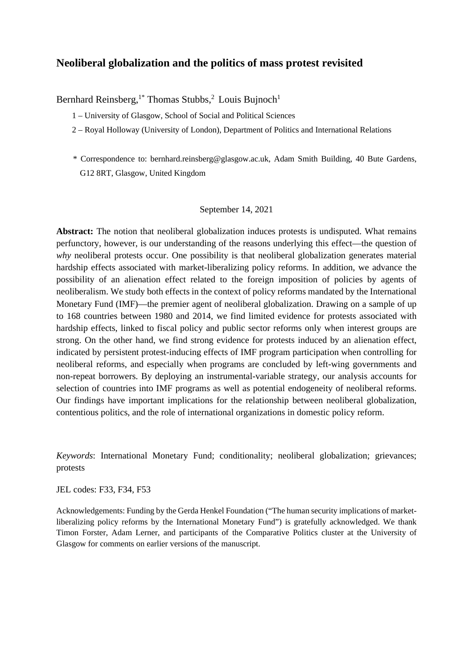# **Neoliberal globalization and the politics of mass protest revisited**

Bernhard Reinsberg,<sup>1\*</sup> Thomas Stubbs,<sup>2</sup> Louis Bujnoch<sup>1</sup>

- 1 University of Glasgow, School of Social and Political Sciences
- 2 Royal Holloway (University of London), Department of Politics and International Relations
- \* Correspondence to: bernhard.reinsberg@glasgow.ac.uk, Adam Smith Building, 40 Bute Gardens, G12 8RT, Glasgow, United Kingdom

#### September 14, 2021

**Abstract:** The notion that neoliberal globalization induces protests is undisputed. What remains perfunctory, however, is our understanding of the reasons underlying this effect—the question of *why* neoliberal protests occur. One possibility is that neoliberal globalization generates material hardship effects associated with market-liberalizing policy reforms. In addition, we advance the possibility of an alienation effect related to the foreign imposition of policies by agents of neoliberalism. We study both effects in the context of policy reforms mandated by the International Monetary Fund (IMF)—the premier agent of neoliberal globalization. Drawing on a sample of up to 168 countries between 1980 and 2014, we find limited evidence for protests associated with hardship effects, linked to fiscal policy and public sector reforms only when interest groups are strong. On the other hand, we find strong evidence for protests induced by an alienation effect, indicated by persistent protest-inducing effects of IMF program participation when controlling for neoliberal reforms, and especially when programs are concluded by left-wing governments and non-repeat borrowers. By deploying an instrumental-variable strategy, our analysis accounts for selection of countries into IMF programs as well as potential endogeneity of neoliberal reforms. Our findings have important implications for the relationship between neoliberal globalization, contentious politics, and the role of international organizations in domestic policy reform.

*Keywords*: International Monetary Fund; conditionality; neoliberal globalization; grievances; protests

JEL codes: F33, F34, F53

Acknowledgements: Funding by the Gerda Henkel Foundation ("The human security implications of marketliberalizing policy reforms by the International Monetary Fund") is gratefully acknowledged. We thank Timon Forster, Adam Lerner, and participants of the Comparative Politics cluster at the University of Glasgow for comments on earlier versions of the manuscript.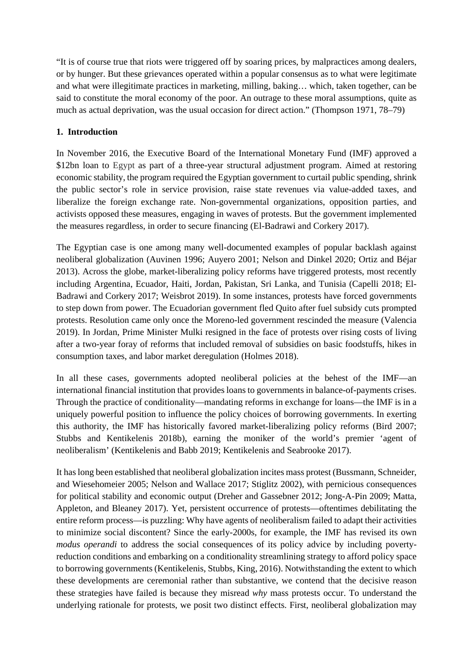"It is of course true that riots were triggered off by soaring prices, by malpractices among dealers, or by hunger. But these grievances operated within a popular consensus as to what were legitimate and what were illegitimate practices in marketing, milling, baking… which, taken together, can be said to constitute the moral economy of the poor. An outrage to these moral assumptions, quite as much as actual deprivation, was the usual occasion for direct action." (Thompson 1971, 78–79)

# **1. Introduction**

In November 2016, the Executive Board of the International Monetary Fund (IMF) approved a \$12bn loan to Egypt as part of a three-year structural adjustment program. Aimed at restoring economic stability, the program required the Egyptian government to curtail public spending, shrink the public sector's role in service provision, raise state revenues via value-added taxes, and liberalize the foreign exchange rate. Non-governmental organizations, opposition parties, and activists opposed these measures, engaging in waves of protests. But the government implemented the measures regardless, in order to secure financing (El-Badrawi and Corkery 2017).

The Egyptian case is one among many well-documented examples of popular backlash against neoliberal globalization (Auvinen 1996; Auyero 2001; Nelson and Dinkel 2020; Ortiz and Béjar 2013). Across the globe, market-liberalizing policy reforms have triggered protests, most recently including Argentina, Ecuador, Haiti, Jordan, Pakistan, Sri Lanka, and Tunisia (Capelli 2018; El-Badrawi and Corkery 2017; Weisbrot 2019). In some instances, protests have forced governments to step down from power. The Ecuadorian government fled Quito after fuel subsidy cuts prompted protests. Resolution came only once the Moreno-led government rescinded the measure (Valencia 2019). In Jordan, Prime Minister Mulki resigned in the face of protests over rising costs of living after a two-year foray of reforms that included removal of subsidies on basic foodstuffs, hikes in consumption taxes, and labor market deregulation (Holmes 2018).

In all these cases, governments adopted neoliberal policies at the behest of the IMF—an international financial institution that provides loans to governments in balance-of-payments crises. Through the practice of conditionality—mandating reforms in exchange for loans—the IMF is in a uniquely powerful position to influence the policy choices of borrowing governments. In exerting this authority, the IMF has historically favored market-liberalizing policy reforms (Bird 2007; Stubbs and Kentikelenis 2018b), earning the moniker of the world's premier 'agent of neoliberalism' (Kentikelenis and Babb 2019; Kentikelenis and Seabrooke 2017).

It has long been established that neoliberal globalization incites mass protest (Bussmann, Schneider, and Wiesehomeier 2005; Nelson and Wallace 2017; Stiglitz 2002), with pernicious consequences for political stability and economic output (Dreher and Gassebner 2012; Jong-A-Pin 2009; Matta, Appleton, and Bleaney 2017). Yet, persistent occurrence of protests—oftentimes debilitating the entire reform process—is puzzling: Why have agents of neoliberalism failed to adapt their activities to minimize social discontent? Since the early-2000s, for example, the IMF has revised its own *modus operandi* to address the social consequences of its policy advice by including povertyreduction conditions and embarking on a conditionality streamlining strategy to afford policy space to borrowing governments (Kentikelenis, Stubbs, King, 2016). Notwithstanding the extent to which these developments are ceremonial rather than substantive, we contend that the decisive reason these strategies have failed is because they misread *why* mass protests occur. To understand the underlying rationale for protests, we posit two distinct effects. First, neoliberal globalization may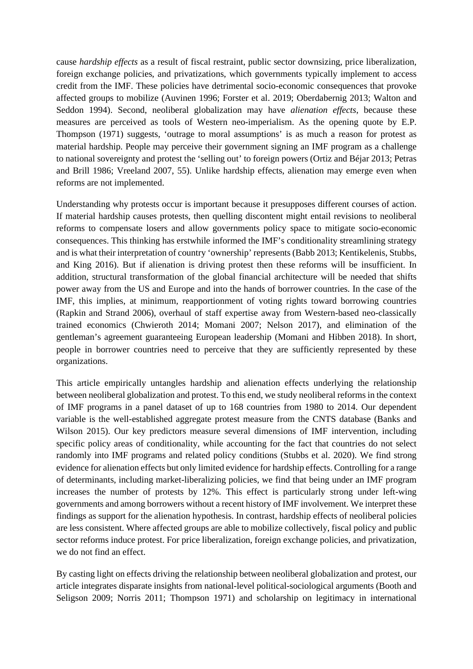cause *hardship effects* as a result of fiscal restraint, public sector downsizing, price liberalization, foreign exchange policies, and privatizations, which governments typically implement to access credit from the IMF. These policies have detrimental socio-economic consequences that provoke affected groups to mobilize (Auvinen 1996; Forster et al. 2019; Oberdabernig 2013; Walton and Seddon 1994). Second, neoliberal globalization may have *alienation effects*, because these measures are perceived as tools of Western neo-imperialism. As the opening quote by E.P. Thompson (1971) suggests, 'outrage to moral assumptions' is as much a reason for protest as material hardship. People may perceive their government signing an IMF program as a challenge to national sovereignty and protest the 'selling out' to foreign powers (Ortiz and Béjar 2013; Petras and Brill 1986; Vreeland 2007, 55). Unlike hardship effects, alienation may emerge even when reforms are not implemented.

Understanding why protests occur is important because it presupposes different courses of action. If material hardship causes protests, then quelling discontent might entail revisions to neoliberal reforms to compensate losers and allow governments policy space to mitigate socio-economic consequences. This thinking has erstwhile informed the IMF's conditionality streamlining strategy and is what their interpretation of country 'ownership' represents (Babb 2013; Kentikelenis, Stubbs, and King 2016). But if alienation is driving protest then these reforms will be insufficient. In addition, structural transformation of the global financial architecture will be needed that shifts power away from the US and Europe and into the hands of borrower countries. In the case of the IMF, this implies, at minimum, reapportionment of voting rights toward borrowing countries (Rapkin and Strand 2006), overhaul of staff expertise away from Western-based neo-classically trained economics (Chwieroth 2014; Momani 2007; Nelson 2017), and elimination of the gentleman's agreement guaranteeing European leadership (Momani and Hibben 2018). In short, people in borrower countries need to perceive that they are sufficiently represented by these organizations.

This article empirically untangles hardship and alienation effects underlying the relationship between neoliberal globalization and protest. To this end, we study neoliberal reforms in the context of IMF programs in a panel dataset of up to 168 countries from 1980 to 2014. Our dependent variable is the well-established aggregate protest measure from the CNTS database (Banks and Wilson 2015). Our key predictors measure several dimensions of IMF intervention, including specific policy areas of conditionality, while accounting for the fact that countries do not select randomly into IMF programs and related policy conditions (Stubbs et al. 2020). We find strong evidence for alienation effects but only limited evidence for hardship effects. Controlling for a range of determinants, including market-liberalizing policies, we find that being under an IMF program increases the number of protests by 12%. This effect is particularly strong under left-wing governments and among borrowers without a recent history of IMF involvement. We interpret these findings as support for the alienation hypothesis. In contrast, hardship effects of neoliberal policies are less consistent. Where affected groups are able to mobilize collectively, fiscal policy and public sector reforms induce protest. For price liberalization, foreign exchange policies, and privatization, we do not find an effect.

By casting light on effects driving the relationship between neoliberal globalization and protest, our article integrates disparate insights from national-level political-sociological arguments (Booth and Seligson 2009; Norris 2011; Thompson 1971) and scholarship on legitimacy in international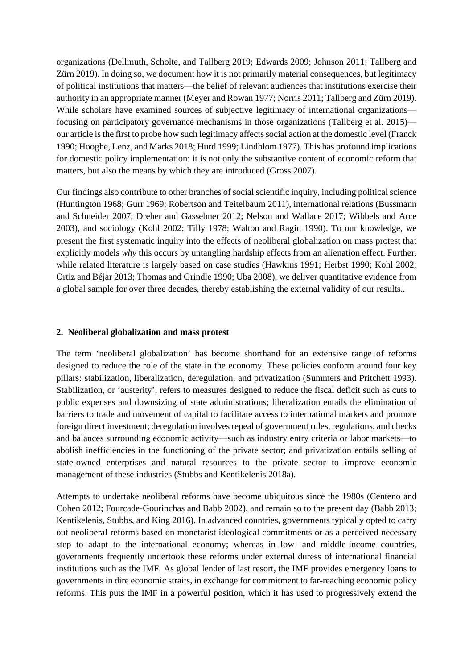organizations (Dellmuth, Scholte, and Tallberg 2019; Edwards 2009; Johnson 2011; Tallberg and Zürn 2019). In doing so, we document how it is not primarily material consequences, but legitimacy of political institutions that matters—the belief of relevant audiences that institutions exercise their authority in an appropriate manner (Meyer and Rowan 1977; Norris 2011; Tallberg and Zürn 2019). While scholars have examined sources of subjective legitimacy of international organizations focusing on participatory governance mechanisms in those organizations (Tallberg et al. 2015) our article is the first to probe how such legitimacy affects social action at the domestic level (Franck 1990; Hooghe, Lenz, and Marks 2018; Hurd 1999; Lindblom 1977). This has profound implications for domestic policy implementation: it is not only the substantive content of economic reform that matters, but also the means by which they are introduced (Gross 2007).

Our findings also contribute to other branches of social scientific inquiry, including political science (Huntington 1968; Gurr 1969; Robertson and Teitelbaum 2011), international relations (Bussmann and Schneider 2007; Dreher and Gassebner 2012; Nelson and Wallace 2017; Wibbels and Arce 2003), and sociology (Kohl 2002; Tilly 1978; Walton and Ragin 1990). To our knowledge, we present the first systematic inquiry into the effects of neoliberal globalization on mass protest that explicitly models *why* this occurs by untangling hardship effects from an alienation effect. Further, while related literature is largely based on case studies (Hawkins 1991; Herbst 1990; Kohl 2002; Ortiz and Béjar 2013; Thomas and Grindle 1990; Uba 2008), we deliver quantitative evidence from a global sample for over three decades, thereby establishing the external validity of our results..

#### **2. Neoliberal globalization and mass protest**

The term 'neoliberal globalization' has become shorthand for an extensive range of reforms designed to reduce the role of the state in the economy. These policies conform around four key pillars: stabilization, liberalization, deregulation, and privatization (Summers and Pritchett 1993). Stabilization, or 'austerity', refers to measures designed to reduce the fiscal deficit such as cuts to public expenses and downsizing of state administrations; liberalization entails the elimination of barriers to trade and movement of capital to facilitate access to international markets and promote foreign direct investment; deregulation involves repeal of government rules, regulations, and checks and balances surrounding economic activity—such as industry entry criteria or labor markets—to abolish inefficiencies in the functioning of the private sector; and privatization entails selling of state-owned enterprises and natural resources to the private sector to improve economic management of these industries (Stubbs and Kentikelenis 2018a).

Attempts to undertake neoliberal reforms have become ubiquitous since the 1980s (Centeno and Cohen 2012; Fourcade-Gourinchas and Babb 2002), and remain so to the present day (Babb 2013; Kentikelenis, Stubbs, and King 2016). In advanced countries, governments typically opted to carry out neoliberal reforms based on monetarist ideological commitments or as a perceived necessary step to adapt to the international economy; whereas in low- and middle-income countries, governments frequently undertook these reforms under external duress of international financial institutions such as the IMF. As global lender of last resort, the IMF provides emergency loans to governments in dire economic straits, in exchange for commitment to far-reaching economic policy reforms. This puts the IMF in a powerful position, which it has used to progressively extend the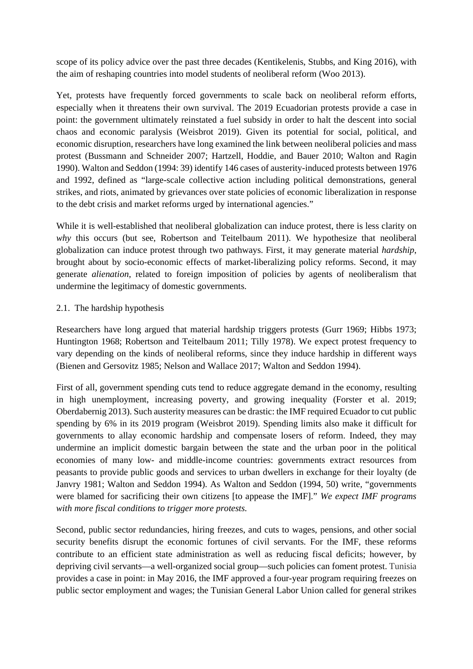scope of its policy advice over the past three decades (Kentikelenis, Stubbs, and King 2016), with the aim of reshaping countries into model students of neoliberal reform (Woo 2013).

Yet, protests have frequently forced governments to scale back on neoliberal reform efforts, especially when it threatens their own survival. The 2019 Ecuadorian protests provide a case in point: the government ultimately reinstated a fuel subsidy in order to halt the descent into social chaos and economic paralysis (Weisbrot 2019). Given its potential for social, political, and economic disruption, researchers have long examined the link between neoliberal policies and mass protest (Bussmann and Schneider 2007; Hartzell, Hoddie, and Bauer 2010; Walton and Ragin 1990). Walton and Seddon (1994: 39) identify 146 cases of austerity-induced protests between 1976 and 1992, defined as "large-scale collective action including political demonstrations, general strikes, and riots, animated by grievances over state policies of economic liberalization in response to the debt crisis and market reforms urged by international agencies."

While it is well-established that neoliberal globalization can induce protest, there is less clarity on *why* this occurs (but see, Robertson and Teitelbaum 2011). We hypothesize that neoliberal globalization can induce protest through two pathways. First, it may generate material *hardship*, brought about by socio-economic effects of market-liberalizing policy reforms. Second, it may generate *alienation*, related to foreign imposition of policies by agents of neoliberalism that undermine the legitimacy of domestic governments.

## 2.1. The hardship hypothesis

Researchers have long argued that material hardship triggers protests (Gurr 1969; Hibbs 1973; Huntington 1968; Robertson and Teitelbaum 2011; Tilly 1978). We expect protest frequency to vary depending on the kinds of neoliberal reforms, since they induce hardship in different ways (Bienen and Gersovitz 1985; Nelson and Wallace 2017; Walton and Seddon 1994).

First of all, government spending cuts tend to reduce aggregate demand in the economy, resulting in high unemployment, increasing poverty, and growing inequality (Forster et al. 2019; Oberdabernig 2013). Such austerity measures can be drastic: the IMF required Ecuador to cut public spending by 6% in its 2019 program (Weisbrot 2019). Spending limits also make it difficult for governments to allay economic hardship and compensate losers of reform. Indeed, they may undermine an implicit domestic bargain between the state and the urban poor in the political economies of many low- and middle-income countries: governments extract resources from peasants to provide public goods and services to urban dwellers in exchange for their loyalty (de Janvry 1981; Walton and Seddon 1994). As Walton and Seddon (1994, 50) write, "governments were blamed for sacrificing their own citizens [to appease the IMF]." *We expect IMF programs with more fiscal conditions to trigger more protests.*

Second, public sector redundancies, hiring freezes, and cuts to wages, pensions, and other social security benefits disrupt the economic fortunes of civil servants. For the IMF, these reforms contribute to an efficient state administration as well as reducing fiscal deficits; however, by depriving civil servants—a well-organized social group—such policies can foment protest. Tunisia provides a case in point: in May 2016, the IMF approved a four-year program requiring freezes on public sector employment and wages; the Tunisian General Labor Union called for general strikes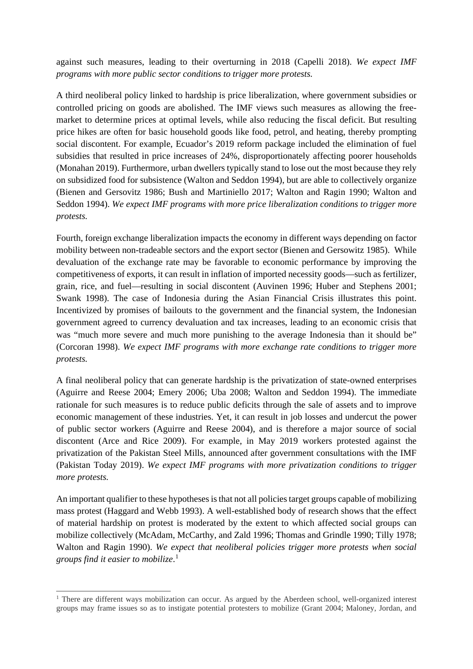against such measures, leading to their overturning in 2018 (Capelli 2018). *We expect IMF programs with more public sector conditions to trigger more protests.*

A third neoliberal policy linked to hardship is price liberalization, where government subsidies or controlled pricing on goods are abolished. The IMF views such measures as allowing the freemarket to determine prices at optimal levels, while also reducing the fiscal deficit. But resulting price hikes are often for basic household goods like food, petrol, and heating, thereby prompting social discontent. For example, Ecuador's 2019 reform package included the elimination of fuel subsidies that resulted in price increases of 24%, disproportionately affecting poorer households (Monahan 2019). Furthermore, urban dwellers typically stand to lose out the most because they rely on subsidized food for subsistence (Walton and Seddon 1994), but are able to collectively organize (Bienen and Gersovitz 1986; Bush and Martiniello 2017; Walton and Ragin 1990; Walton and Seddon 1994). *We expect IMF programs with more price liberalization conditions to trigger more protests.*

Fourth, foreign exchange liberalization impacts the economy in different ways depending on factor mobility between non-tradeable sectors and the export sector (Bienen and Gersowitz 1985). While devaluation of the exchange rate may be favorable to economic performance by improving the competitiveness of exports, it can result in inflation of imported necessity goods—such as fertilizer, grain, rice, and fuel—resulting in social discontent (Auvinen 1996; Huber and Stephens 2001; Swank 1998). The case of Indonesia during the Asian Financial Crisis illustrates this point. Incentivized by promises of bailouts to the government and the financial system, the Indonesian government agreed to currency devaluation and tax increases, leading to an economic crisis that was "much more severe and much more punishing to the average Indonesia than it should be" (Corcoran 1998). *We expect IMF programs with more exchange rate conditions to trigger more protests.*

A final neoliberal policy that can generate hardship is the privatization of state-owned enterprises (Aguirre and Reese 2004; Emery 2006; Uba 2008; Walton and Seddon 1994). The immediate rationale for such measures is to reduce public deficits through the sale of assets and to improve economic management of these industries. Yet, it can result in job losses and undercut the power of public sector workers (Aguirre and Reese 2004), and is therefore a major source of social discontent (Arce and Rice 2009). For example, in May 2019 workers protested against the privatization of the Pakistan Steel Mills, announced after government consultations with the IMF (Pakistan Today 2019). *We expect IMF programs with more privatization conditions to trigger more protests.*

An important qualifier to these hypotheses is that not all policies target groups capable of mobilizing mass protest (Haggard and Webb 1993). A well-established body of research shows that the effect of material hardship on protest is moderated by the extent to which affected social groups can mobilize collectively (McAdam, McCarthy, and Zald 1996; Thomas and Grindle 1990; Tilly 1978; Walton and Ragin 1990). *We expect that neoliberal policies trigger more protests when social groups find it easier to mobilize*. [1](#page-5-0)

<span id="page-5-0"></span><sup>&</sup>lt;sup>1</sup> There are different ways mobilization can occur. As argued by the Aberdeen school, well-organized interest groups may frame issues so as to instigate potential protesters to mobilize (Grant 2004; Maloney, Jordan, and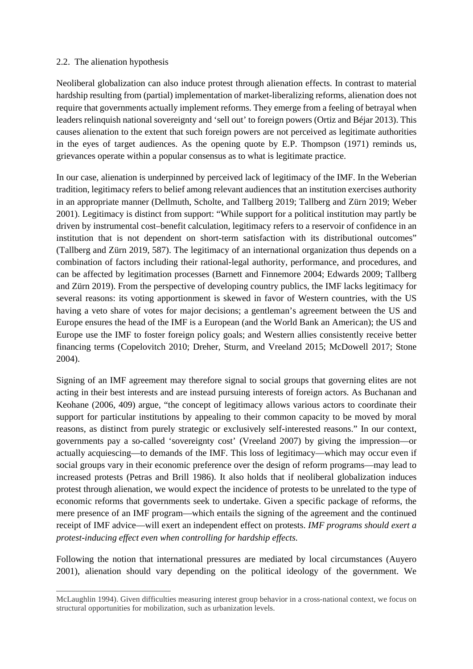#### 2.2. The alienation hypothesis

Neoliberal globalization can also induce protest through alienation effects. In contrast to material hardship resulting from (partial) implementation of market-liberalizing reforms, alienation does not require that governments actually implement reforms. They emerge from a feeling of betrayal when leaders relinquish national sovereignty and 'sell out' to foreign powers (Ortiz and Béjar 2013). This causes alienation to the extent that such foreign powers are not perceived as legitimate authorities in the eyes of target audiences. As the opening quote by E.P. Thompson (1971) reminds us, grievances operate within a popular consensus as to what is legitimate practice.

In our case, alienation is underpinned by perceived lack of legitimacy of the IMF. In the Weberian tradition, legitimacy refers to belief among relevant audiences that an institution exercises authority in an appropriate manner (Dellmuth, Scholte, and Tallberg 2019; Tallberg and Zürn 2019; Weber 2001). Legitimacy is distinct from support: "While support for a political institution may partly be driven by instrumental cost–benefit calculation, legitimacy refers to a reservoir of confidence in an institution that is not dependent on short-term satisfaction with its distributional outcomes" (Tallberg and Zürn 2019, 587). The legitimacy of an international organization thus depends on a combination of factors including their rational-legal authority, performance, and procedures, and can be affected by legitimation processes (Barnett and Finnemore 2004; Edwards 2009; Tallberg and Zürn 2019). From the perspective of developing country publics, the IMF lacks legitimacy for several reasons: its voting apportionment is skewed in favor of Western countries, with the US having a veto share of votes for major decisions; a gentleman's agreement between the US and Europe ensures the head of the IMF is a European (and the World Bank an American); the US and Europe use the IMF to foster foreign policy goals; and Western allies consistently receive better financing terms (Copelovitch 2010; Dreher, Sturm, and Vreeland 2015; McDowell 2017; Stone 2004).

Signing of an IMF agreement may therefore signal to social groups that governing elites are not acting in their best interests and are instead pursuing interests of foreign actors. As Buchanan and Keohane (2006, 409) argue, "the concept of legitimacy allows various actors to coordinate their support for particular institutions by appealing to their common capacity to be moved by moral reasons, as distinct from purely strategic or exclusively self-interested reasons." In our context, governments pay a so-called 'sovereignty cost' (Vreeland 2007) by giving the impression—or actually acquiescing—to demands of the IMF. This loss of legitimacy—which may occur even if social groups vary in their economic preference over the design of reform programs—may lead to increased protests (Petras and Brill 1986). It also holds that if neoliberal globalization induces protest through alienation, we would expect the incidence of protests to be unrelated to the type of economic reforms that governments seek to undertake. Given a specific package of reforms, the mere presence of an IMF program—which entails the signing of the agreement and the continued receipt of IMF advice—will exert an independent effect on protests. *IMF programs should exert a protest-inducing effect even when controlling for hardship effects.*

Following the notion that international pressures are mediated by local circumstances (Auyero 2001), alienation should vary depending on the political ideology of the government. We

McLaughlin 1994). Given difficulties measuring interest group behavior in a cross-national context, we focus on structural opportunities for mobilization, such as urbanization levels.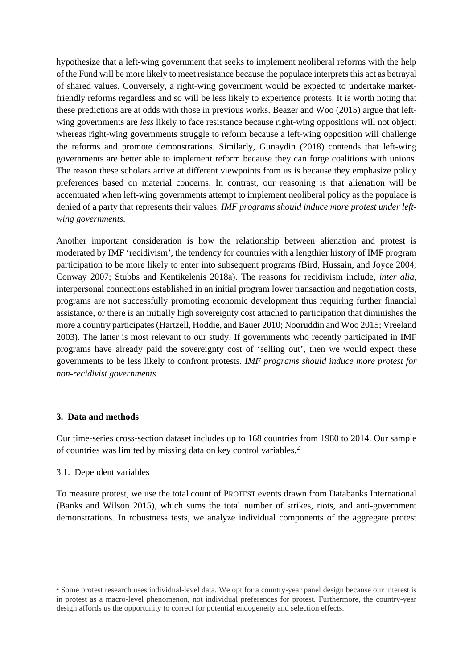hypothesize that a left-wing government that seeks to implement neoliberal reforms with the help of the Fund will be more likely to meet resistance because the populace interprets this act as betrayal of shared values. Conversely, a right-wing government would be expected to undertake marketfriendly reforms regardless and so will be less likely to experience protests. It is worth noting that these predictions are at odds with those in previous works. Beazer and Woo (2015) argue that leftwing governments are *less* likely to face resistance because right-wing oppositions will not object; whereas right-wing governments struggle to reform because a left-wing opposition will challenge the reforms and promote demonstrations. Similarly, Gunaydin (2018) contends that left-wing governments are better able to implement reform because they can forge coalitions with unions. The reason these scholars arrive at different viewpoints from us is because they emphasize policy preferences based on material concerns. In contrast, our reasoning is that alienation will be accentuated when left-wing governments attempt to implement neoliberal policy as the populace is denied of a party that represents their values. *IMF programs should induce more protest under leftwing governments*.

Another important consideration is how the relationship between alienation and protest is moderated by IMF 'recidivism', the tendency for countries with a lengthier history of IMF program participation to be more likely to enter into subsequent programs (Bird, Hussain, and Joyce 2004; Conway 2007; Stubbs and Kentikelenis 2018a). The reasons for recidivism include, *inter alia*, interpersonal connections established in an initial program lower transaction and negotiation costs, programs are not successfully promoting economic development thus requiring further financial assistance, or there is an initially high sovereignty cost attached to participation that diminishes the more a country participates(Hartzell, Hoddie, and Bauer 2010; Nooruddin and Woo 2015; Vreeland 2003). The latter is most relevant to our study. If governments who recently participated in IMF programs have already paid the sovereignty cost of 'selling out', then we would expect these governments to be less likely to confront protests. *IMF programs should induce more protest for non-recidivist governments*.

#### **3. Data and methods**

Our time-series cross-section dataset includes up to 168 countries from 1980 to 2014. Our sample of countries was limited by missing data on key control variables. [2](#page-7-0)

#### 3.1. Dependent variables

To measure protest, we use the total count of PROTEST events drawn from Databanks International (Banks and Wilson 2015), which sums the total number of strikes, riots, and anti-government demonstrations. In robustness tests, we analyze individual components of the aggregate protest

<span id="page-7-0"></span><sup>&</sup>lt;sup>2</sup> Some protest research uses individual-level data. We opt for a country-year panel design because our interest is in protest as a macro-level phenomenon, not individual preferences for protest. Furthermore, the country-year design affords us the opportunity to correct for potential endogeneity and selection effects.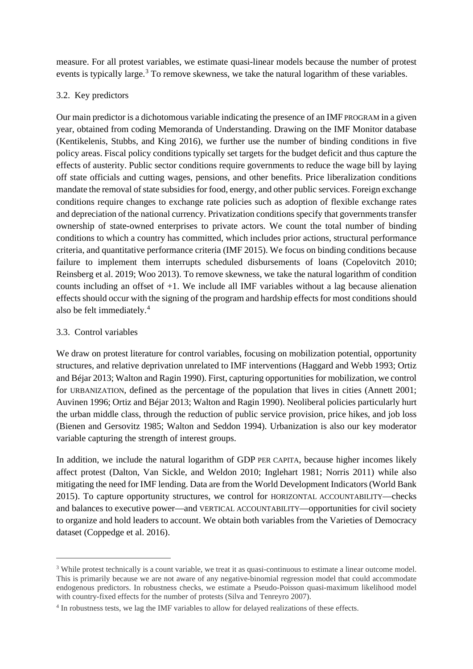measure. For all protest variables, we estimate quasi-linear models because the number of protest events is typically large.<sup>[3](#page-8-0)</sup> To remove skewness, we take the natural logarithm of these variables.

## 3.2. Key predictors

Our main predictor is a dichotomous variable indicating the presence of an IMF PROGRAM in a given year, obtained from coding Memoranda of Understanding. Drawing on the IMF Monitor database (Kentikelenis, Stubbs, and King 2016), we further use the number of binding conditions in five policy areas. Fiscal policy conditions typically set targets for the budget deficit and thus capture the effects of austerity. Public sector conditions require governments to reduce the wage bill by laying off state officials and cutting wages, pensions, and other benefits. Price liberalization conditions mandate the removal of state subsidies for food, energy, and other public services. Foreign exchange conditions require changes to exchange rate policies such as adoption of flexible exchange rates and depreciation of the national currency. Privatization conditions specify that governments transfer ownership of state-owned enterprises to private actors. We count the total number of binding conditions to which a country has committed, which includes prior actions, structural performance criteria, and quantitative performance criteria (IMF 2015). We focus on binding conditions because failure to implement them interrupts scheduled disbursements of loans (Copelovitch 2010; Reinsberg et al. 2019; Woo 2013). To remove skewness, we take the natural logarithm of condition counts including an offset of +1. We include all IMF variables without a lag because alienation effects should occur with the signing of the program and hardship effects for most conditions should also be felt immediately.[4](#page-8-1)

## 3.3. Control variables

We draw on protest literature for control variables, focusing on mobilization potential, opportunity structures, and relative deprivation unrelated to IMF interventions (Haggard and Webb 1993; Ortiz and Béjar 2013; Walton and Ragin 1990). First, capturing opportunities for mobilization, we control for URBANIZATION, defined as the percentage of the population that lives in cities (Annett 2001; Auvinen 1996; Ortiz and Béjar 2013; Walton and Ragin 1990). Neoliberal policies particularly hurt the urban middle class, through the reduction of public service provision, price hikes, and job loss (Bienen and Gersovitz 1985; Walton and Seddon 1994). Urbanization is also our key moderator variable capturing the strength of interest groups.

In addition, we include the natural logarithm of GDP PER CAPITA, because higher incomes likely affect protest (Dalton, Van Sickle, and Weldon 2010; Inglehart 1981; Norris 2011) while also mitigating the need for IMF lending. Data are from the World Development Indicators (World Bank 2015). To capture opportunity structures, we control for HORIZONTAL ACCOUNTABILITY—checks and balances to executive power—and VERTICAL ACCOUNTABILITY—opportunities for civil society to organize and hold leaders to account. We obtain both variables from the Varieties of Democracy dataset (Coppedge et al. 2016).

<span id="page-8-0"></span><sup>&</sup>lt;sup>3</sup> While protest technically is a count variable, we treat it as quasi-continuous to estimate a linear outcome model. This is primarily because we are not aware of any negative-binomial regression model that could accommodate endogenous predictors. In robustness checks, we estimate a Pseudo-Poisson quasi-maximum likelihood model with country-fixed effects for the number of protests (Silva and Tenreyro 2007).

<span id="page-8-1"></span><sup>4</sup> In robustness tests, we lag the IMF variables to allow for delayed realizations of these effects.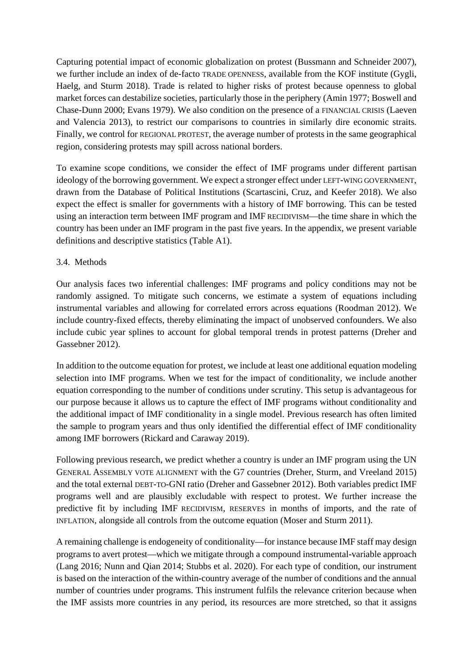Capturing potential impact of economic globalization on protest (Bussmann and Schneider 2007), we further include an index of de-facto TRADE OPENNESS, available from the KOF institute (Gygli, Haelg, and Sturm 2018). Trade is related to higher risks of protest because openness to global market forces can destabilize societies, particularly those in the periphery (Amin 1977; Boswell and Chase-Dunn 2000; Evans 1979). We also condition on the presence of a FINANCIAL CRISIS (Laeven and Valencia 2013), to restrict our comparisons to countries in similarly dire economic straits. Finally, we control for REGIONAL PROTEST, the average number of protests in the same geographical region, considering protests may spill across national borders.

To examine scope conditions, we consider the effect of IMF programs under different partisan ideology of the borrowing government. We expect a stronger effect under LEFT-WING GOVERNMENT, drawn from the Database of Political Institutions (Scartascini, Cruz, and Keefer 2018). We also expect the effect is smaller for governments with a history of IMF borrowing. This can be tested using an interaction term between IMF program and IMF RECIDIVISM—the time share in which the country has been under an IMF program in the past five years. In the appendix, we present variable definitions and descriptive statistics (Table A1).

## 3.4. Methods

Our analysis faces two inferential challenges: IMF programs and policy conditions may not be randomly assigned. To mitigate such concerns, we estimate a system of equations including instrumental variables and allowing for correlated errors across equations (Roodman 2012). We include country-fixed effects, thereby eliminating the impact of unobserved confounders. We also include cubic year splines to account for global temporal trends in protest patterns (Dreher and Gassebner 2012).

In addition to the outcome equation for protest, we include at least one additional equation modeling selection into IMF programs. When we test for the impact of conditionality, we include another equation corresponding to the number of conditions under scrutiny. This setup is advantageous for our purpose because it allows us to capture the effect of IMF programs without conditionality and the additional impact of IMF conditionality in a single model. Previous research has often limited the sample to program years and thus only identified the differential effect of IMF conditionality among IMF borrowers (Rickard and Caraway 2019).

Following previous research, we predict whether a country is under an IMF program using the UN GENERAL ASSEMBLY VOTE ALIGNMENT with the G7 countries (Dreher, Sturm, and Vreeland 2015) and the total external DEBT-TO-GNI ratio (Dreher and Gassebner 2012). Both variables predict IMF programs well and are plausibly excludable with respect to protest. We further increase the predictive fit by including IMF RECIDIVISM, RESERVES in months of imports, and the rate of INFLATION, alongside all controls from the outcome equation (Moser and Sturm 2011).

A remaining challenge is endogeneity of conditionality—for instance because IMF staff may design programs to avert protest—which we mitigate through a compound instrumental-variable approach (Lang 2016; Nunn and Qian 2014; Stubbs et al. 2020). For each type of condition, our instrument is based on the interaction of the within-country average of the number of conditions and the annual number of countries under programs. This instrument fulfils the relevance criterion because when the IMF assists more countries in any period, its resources are more stretched, so that it assigns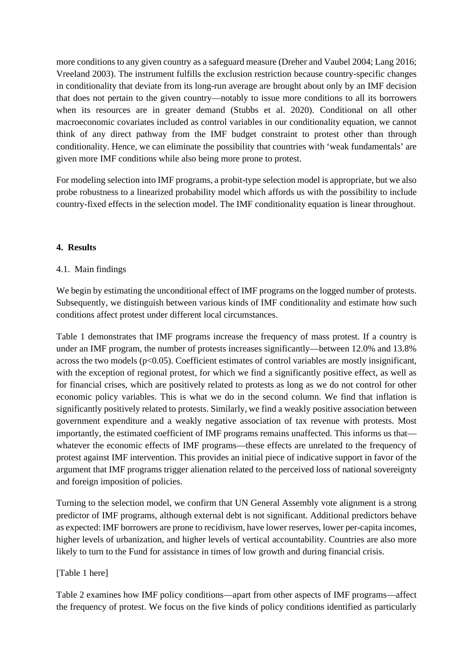more conditions to any given country as a safeguard measure (Dreher and Vaubel 2004; Lang 2016; Vreeland 2003). The instrument fulfills the exclusion restriction because country-specific changes in conditionality that deviate from its long-run average are brought about only by an IMF decision that does not pertain to the given country—notably to issue more conditions to all its borrowers when its resources are in greater demand (Stubbs et al. 2020). Conditional on all other macroeconomic covariates included as control variables in our conditionality equation, we cannot think of any direct pathway from the IMF budget constraint to protest other than through conditionality. Hence, we can eliminate the possibility that countries with 'weak fundamentals' are given more IMF conditions while also being more prone to protest.

For modeling selection into IMF programs, a probit-type selection model is appropriate, but we also probe robustness to a linearized probability model which affords us with the possibility to include country-fixed effects in the selection model. The IMF conditionality equation is linear throughout.

## **4. Results**

## 4.1. Main findings

We begin by estimating the unconditional effect of IMF programs on the logged number of protests. Subsequently, we distinguish between various kinds of IMF conditionality and estimate how such conditions affect protest under different local circumstances.

Table 1 demonstrates that IMF programs increase the frequency of mass protest. If a country is under an IMF program, the number of protests increases significantly—between 12.0% and 13.8% across the two models  $(p<0.05)$ . Coefficient estimates of control variables are mostly insignificant, with the exception of regional protest, for which we find a significantly positive effect, as well as for financial crises, which are positively related to protests as long as we do not control for other economic policy variables. This is what we do in the second column. We find that inflation is significantly positively related to protests. Similarly, we find a weakly positive association between government expenditure and a weakly negative association of tax revenue with protests. Most importantly, the estimated coefficient of IMF programs remains unaffected. This informs us that whatever the economic effects of IMF programs—these effects are unrelated to the frequency of protest against IMF intervention. This provides an initial piece of indicative support in favor of the argument that IMF programs trigger alienation related to the perceived loss of national sovereignty and foreign imposition of policies.

Turning to the selection model, we confirm that UN General Assembly vote alignment is a strong predictor of IMF programs, although external debt is not significant. Additional predictors behave as expected: IMF borrowers are prone to recidivism, have lower reserves, lower per-capita incomes, higher levels of urbanization, and higher levels of vertical accountability. Countries are also more likely to turn to the Fund for assistance in times of low growth and during financial crisis.

#### [Table 1 here]

Table 2 examines how IMF policy conditions—apart from other aspects of IMF programs—affect the frequency of protest. We focus on the five kinds of policy conditions identified as particularly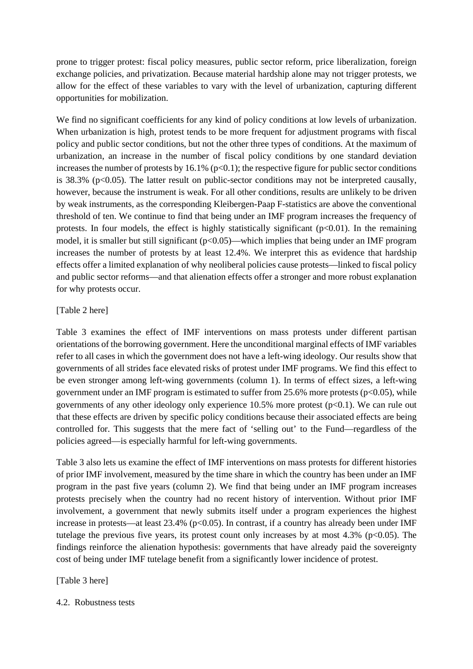prone to trigger protest: fiscal policy measures, public sector reform, price liberalization, foreign exchange policies, and privatization. Because material hardship alone may not trigger protests, we allow for the effect of these variables to vary with the level of urbanization, capturing different opportunities for mobilization.

We find no significant coefficients for any kind of policy conditions at low levels of urbanization. When urbanization is high, protest tends to be more frequent for adjustment programs with fiscal policy and public sector conditions, but not the other three types of conditions. At the maximum of urbanization, an increase in the number of fiscal policy conditions by one standard deviation increases the number of protests by 16.1% ( $p<0.1$ ); the respective figure for public sector conditions is  $38.3\%$  (p<0.05). The latter result on public-sector conditions may not be interpreted causally, however, because the instrument is weak. For all other conditions, results are unlikely to be driven by weak instruments, as the corresponding Kleibergen-Paap F-statistics are above the conventional threshold of ten. We continue to find that being under an IMF program increases the frequency of protests. In four models, the effect is highly statistically significant  $(p<0.01)$ . In the remaining model, it is smaller but still significant (p<0.05)—which implies that being under an IMF program increases the number of protests by at least 12.4%. We interpret this as evidence that hardship effects offer a limited explanation of why neoliberal policies cause protests—linked to fiscal policy and public sector reforms—and that alienation effects offer a stronger and more robust explanation for why protests occur.

## [Table 2 here]

Table 3 examines the effect of IMF interventions on mass protests under different partisan orientations of the borrowing government. Here the unconditional marginal effects of IMF variables refer to all cases in which the government does not have a left-wing ideology. Our results show that governments of all strides face elevated risks of protest under IMF programs. We find this effect to be even stronger among left-wing governments (column 1). In terms of effect sizes, a left-wing government under an IMF program is estimated to suffer from 25.6% more protests ( $p<0.05$ ), while governments of any other ideology only experience 10.5% more protest  $(p<0.1)$ . We can rule out that these effects are driven by specific policy conditions because their associated effects are being controlled for. This suggests that the mere fact of 'selling out' to the Fund—regardless of the policies agreed—is especially harmful for left-wing governments.

Table 3 also lets us examine the effect of IMF interventions on mass protests for different histories of prior IMF involvement, measured by the time share in which the country has been under an IMF program in the past five years (column 2). We find that being under an IMF program increases protests precisely when the country had no recent history of intervention. Without prior IMF involvement, a government that newly submits itself under a program experiences the highest increase in protests—at least  $23.4\%$  (p<0.05). In contrast, if a country has already been under IMF tutelage the previous five years, its protest count only increases by at most  $4.3\%$  (p<0.05). The findings reinforce the alienation hypothesis: governments that have already paid the sovereignty cost of being under IMF tutelage benefit from a significantly lower incidence of protest.

# [Table 3 here]

4.2. Robustness tests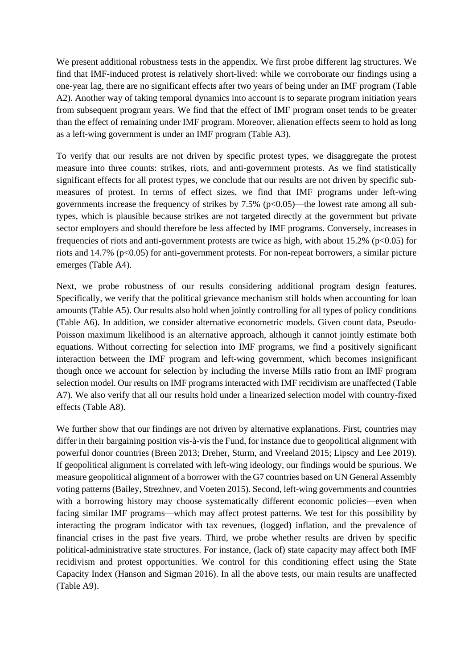We present additional robustness tests in the appendix. We first probe different lag structures. We find that IMF-induced protest is relatively short-lived: while we corroborate our findings using a one-year lag, there are no significant effects after two years of being under an IMF program (Table A2). Another way of taking temporal dynamics into account is to separate program initiation years from subsequent program years. We find that the effect of IMF program onset tends to be greater than the effect of remaining under IMF program. Moreover, alienation effects seem to hold as long as a left-wing government is under an IMF program (Table A3).

To verify that our results are not driven by specific protest types, we disaggregate the protest measure into three counts: strikes, riots, and anti-government protests. As we find statistically significant effects for all protest types, we conclude that our results are not driven by specific submeasures of protest. In terms of effect sizes, we find that IMF programs under left-wing governments increase the frequency of strikes by  $7.5\%$  ( $p<0.05$ )—the lowest rate among all subtypes, which is plausible because strikes are not targeted directly at the government but private sector employers and should therefore be less affected by IMF programs. Conversely, increases in frequencies of riots and anti-government protests are twice as high, with about  $15.2\%$  (p $\lt 0.05$ ) for riots and  $14.7\%$  ( $p<0.05$ ) for anti-government protests. For non-repeat borrowers, a similar picture emerges (Table A4).

Next, we probe robustness of our results considering additional program design features. Specifically, we verify that the political grievance mechanism still holds when accounting for loan amounts (Table A5). Our results also hold when jointly controlling for all types of policy conditions (Table A6). In addition, we consider alternative econometric models. Given count data, Pseudo-Poisson maximum likelihood is an alternative approach, although it cannot jointly estimate both equations. Without correcting for selection into IMF programs, we find a positively significant interaction between the IMF program and left-wing government, which becomes insignificant though once we account for selection by including the inverse Mills ratio from an IMF program selection model. Our results on IMF programs interacted with IMF recidivism are unaffected (Table A7). We also verify that all our results hold under a linearized selection model with country-fixed effects (Table A8).

We further show that our findings are not driven by alternative explanations. First, countries may differ in their bargaining position vis-à-vis the Fund, for instance due to geopolitical alignment with powerful donor countries (Breen 2013; Dreher, Sturm, and Vreeland 2015; Lipscy and Lee 2019). If geopolitical alignment is correlated with left-wing ideology, our findings would be spurious. We measure geopolitical alignment of a borrower with the G7 countries based on UN General Assembly voting patterns (Bailey, Strezhnev, and Voeten 2015). Second, left-wing governments and countries with a borrowing history may choose systematically different economic policies—even when facing similar IMF programs—which may affect protest patterns. We test for this possibility by interacting the program indicator with tax revenues, (logged) inflation, and the prevalence of financial crises in the past five years. Third, we probe whether results are driven by specific political-administrative state structures. For instance, (lack of) state capacity may affect both IMF recidivism and protest opportunities. We control for this conditioning effect using the State Capacity Index (Hanson and Sigman 2016). In all the above tests, our main results are unaffected (Table A9).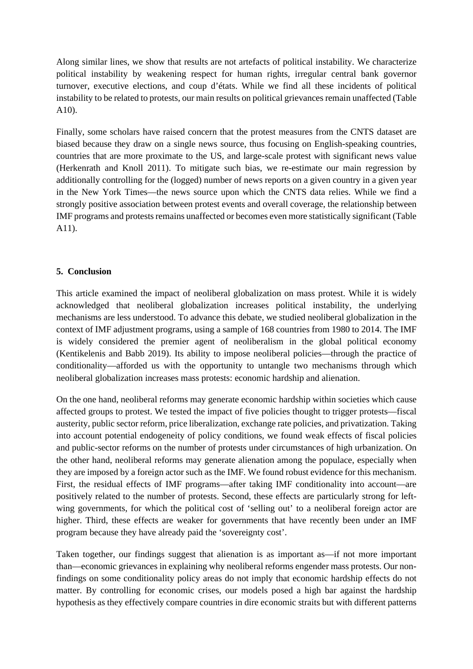Along similar lines, we show that results are not artefacts of political instability. We characterize political instability by weakening respect for human rights, irregular central bank governor turnover, executive elections, and coup d'états. While we find all these incidents of political instability to be related to protests, our main results on political grievances remain unaffected (Table A10).

Finally, some scholars have raised concern that the protest measures from the CNTS dataset are biased because they draw on a single news source, thus focusing on English-speaking countries, countries that are more proximate to the US, and large-scale protest with significant news value (Herkenrath and Knoll 2011). To mitigate such bias, we re-estimate our main regression by additionally controlling for the (logged) number of news reports on a given country in a given year in the New York Times—the news source upon which the CNTS data relies. While we find a strongly positive association between protest events and overall coverage, the relationship between IMF programs and protests remains unaffected or becomes even more statistically significant (Table A11).

## **5. Conclusion**

This article examined the impact of neoliberal globalization on mass protest. While it is widely acknowledged that neoliberal globalization increases political instability, the underlying mechanisms are less understood. To advance this debate, we studied neoliberal globalization in the context of IMF adjustment programs, using a sample of 168 countries from 1980 to 2014. The IMF is widely considered the premier agent of neoliberalism in the global political economy (Kentikelenis and Babb 2019). Its ability to impose neoliberal policies—through the practice of conditionality—afforded us with the opportunity to untangle two mechanisms through which neoliberal globalization increases mass protests: economic hardship and alienation.

On the one hand, neoliberal reforms may generate economic hardship within societies which cause affected groups to protest. We tested the impact of five policies thought to trigger protests—fiscal austerity, public sector reform, price liberalization, exchange rate policies, and privatization. Taking into account potential endogeneity of policy conditions, we found weak effects of fiscal policies and public-sector reforms on the number of protests under circumstances of high urbanization. On the other hand, neoliberal reforms may generate alienation among the populace, especially when they are imposed by a foreign actor such as the IMF. We found robust evidence for this mechanism. First, the residual effects of IMF programs—after taking IMF conditionality into account—are positively related to the number of protests. Second, these effects are particularly strong for leftwing governments, for which the political cost of 'selling out' to a neoliberal foreign actor are higher. Third, these effects are weaker for governments that have recently been under an IMF program because they have already paid the 'sovereignty cost'.

Taken together, our findings suggest that alienation is as important as—if not more important than—economic grievances in explaining why neoliberal reforms engender mass protests. Our nonfindings on some conditionality policy areas do not imply that economic hardship effects do not matter. By controlling for economic crises, our models posed a high bar against the hardship hypothesis as they effectively compare countries in dire economic straits but with different patterns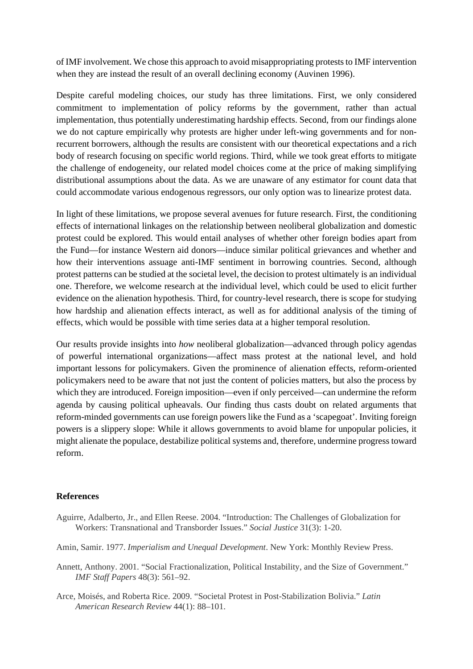of IMF involvement. We chose this approach to avoid misappropriating protests to IMF intervention when they are instead the result of an overall declining economy (Auvinen 1996).

Despite careful modeling choices, our study has three limitations. First, we only considered commitment to implementation of policy reforms by the government, rather than actual implementation, thus potentially underestimating hardship effects. Second, from our findings alone we do not capture empirically why protests are higher under left-wing governments and for nonrecurrent borrowers, although the results are consistent with our theoretical expectations and a rich body of research focusing on specific world regions. Third, while we took great efforts to mitigate the challenge of endogeneity, our related model choices come at the price of making simplifying distributional assumptions about the data. As we are unaware of any estimator for count data that could accommodate various endogenous regressors, our only option was to linearize protest data.

In light of these limitations, we propose several avenues for future research. First, the conditioning effects of international linkages on the relationship between neoliberal globalization and domestic protest could be explored. This would entail analyses of whether other foreign bodies apart from the Fund—for instance Western aid donors—induce similar political grievances and whether and how their interventions assuage anti-IMF sentiment in borrowing countries. Second, although protest patterns can be studied at the societal level, the decision to protest ultimately is an individual one. Therefore, we welcome research at the individual level, which could be used to elicit further evidence on the alienation hypothesis. Third, for country-level research, there is scope for studying how hardship and alienation effects interact, as well as for additional analysis of the timing of effects, which would be possible with time series data at a higher temporal resolution.

Our results provide insights into *how* neoliberal globalization—advanced through policy agendas of powerful international organizations—affect mass protest at the national level, and hold important lessons for policymakers. Given the prominence of alienation effects, reform-oriented policymakers need to be aware that not just the content of policies matters, but also the process by which they are introduced. Foreign imposition—even if only perceived—can undermine the reform agenda by causing political upheavals. Our finding thus casts doubt on related arguments that reform-minded governments can use foreign powers like the Fund as a 'scapegoat'. Inviting foreign powers is a slippery slope: While it allows governments to avoid blame for unpopular policies, it might alienate the populace, destabilize political systems and, therefore, undermine progress toward reform.

#### **References**

- Aguirre, Adalberto, Jr., and Ellen Reese. 2004. "Introduction: The Challenges of Globalization for Workers: Transnational and Transborder Issues." *Social Justice* 31(3): 1-20.
- Amin, Samir. 1977. *Imperialism and Unequal Development*. New York: Monthly Review Press.
- Annett, Anthony. 2001. "Social Fractionalization, Political Instability, and the Size of Government." *IMF Staff Papers* 48(3): 561–92.
- Arce, Moisés, and Roberta Rice. 2009. "Societal Protest in Post-Stabilization Bolivia." *Latin American Research Review* 44(1): 88–101.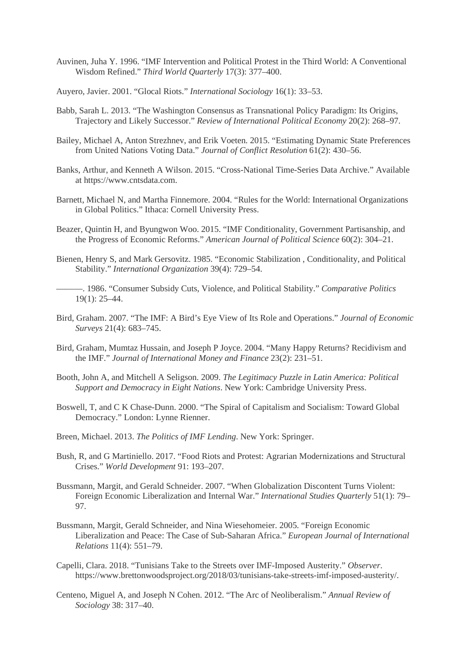- Auvinen, Juha Y. 1996. "IMF Intervention and Political Protest in the Third World: A Conventional Wisdom Refined." *Third World Quarterly* 17(3): 377–400.
- Auyero, Javier. 2001. "Glocal Riots." *International Sociology* 16(1): 33–53.
- Babb, Sarah L. 2013. "The Washington Consensus as Transnational Policy Paradigm: Its Origins, Trajectory and Likely Successor." *Review of International Political Economy* 20(2): 268–97.
- Bailey, Michael A, Anton Strezhnev, and Erik Voeten. 2015. "Estimating Dynamic State Preferences from United Nations Voting Data." *Journal of Conflict Resolution* 61(2): 430–56.
- Banks, Arthur, and Kenneth A Wilson. 2015. "Cross-National Time-Series Data Archive." Available at https://www.cntsdata.com.
- Barnett, Michael N, and Martha Finnemore. 2004. "Rules for the World: International Organizations in Global Politics." Ithaca: Cornell University Press.
- Beazer, Quintin H, and Byungwon Woo. 2015. "IMF Conditionality, Government Partisanship, and the Progress of Economic Reforms." *American Journal of Political Science* 60(2): 304–21.
- Bienen, Henry S, and Mark Gersovitz. 1985. "Economic Stabilization , Conditionality, and Political Stability." *International Organization* 39(4): 729–54.
	- ———. 1986. "Consumer Subsidy Cuts, Violence, and Political Stability." *Comparative Politics* 19(1): 25–44.
- Bird, Graham. 2007. "The IMF: A Bird's Eye View of Its Role and Operations." *Journal of Economic Surveys* 21(4): 683–745.
- Bird, Graham, Mumtaz Hussain, and Joseph P Joyce. 2004. "Many Happy Returns? Recidivism and the IMF." *Journal of International Money and Finance* 23(2): 231–51.
- Booth, John A, and Mitchell A Seligson. 2009. *The Legitimacy Puzzle in Latin America: Political Support and Democracy in Eight Nations*. New York: Cambridge University Press.
- Boswell, T, and C K Chase-Dunn. 2000. "The Spiral of Capitalism and Socialism: Toward Global Democracy." London: Lynne Rienner.
- Breen, Michael. 2013. *The Politics of IMF Lending*. New York: Springer.
- Bush, R, and G Martiniello. 2017. "Food Riots and Protest: Agrarian Modernizations and Structural Crises." *World Development* 91: 193–207.
- Bussmann, Margit, and Gerald Schneider. 2007. "When Globalization Discontent Turns Violent: Foreign Economic Liberalization and Internal War." *International Studies Quarterly* 51(1): 79– 97.
- Bussmann, Margit, Gerald Schneider, and Nina Wiesehomeier. 2005. "Foreign Economic Liberalization and Peace: The Case of Sub-Saharan Africa." *European Journal of International Relations* 11(4): 551–79.
- Capelli, Clara. 2018. "Tunisians Take to the Streets over IMF-Imposed Austerity." *Observer*. https://www.brettonwoodsproject.org/2018/03/tunisians-take-streets-imf-imposed-austerity/.
- Centeno, Miguel A, and Joseph N Cohen. 2012. "The Arc of Neoliberalism." *Annual Review of Sociology* 38: 317–40.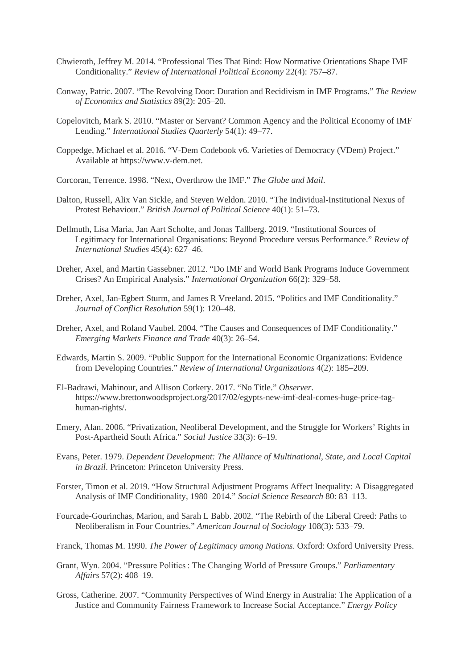- Chwieroth, Jeffrey M. 2014. "Professional Ties That Bind: How Normative Orientations Shape IMF Conditionality." *Review of International Political Economy* 22(4): 757–87.
- Conway, Patric. 2007. "The Revolving Door: Duration and Recidivism in IMF Programs." *The Review of Economics and Statistics* 89(2): 205–20.
- Copelovitch, Mark S. 2010. "Master or Servant? Common Agency and the Political Economy of IMF Lending." *International Studies Quarterly* 54(1): 49–77.
- Coppedge, Michael et al. 2016. "V-Dem Codebook v6. Varieties of Democracy (VDem) Project." Available at https://www.v-dem.net.
- Corcoran, Terrence. 1998. "Next, Overthrow the IMF." *The Globe and Mail*.
- Dalton, Russell, Alix Van Sickle, and Steven Weldon. 2010. "The Individual-Institutional Nexus of Protest Behaviour." *British Journal of Political Science* 40(1): 51–73.
- Dellmuth, Lisa Maria, Jan Aart Scholte, and Jonas Tallberg. 2019. "Institutional Sources of Legitimacy for International Organisations: Beyond Procedure versus Performance." *Review of International Studies* 45(4): 627–46.
- Dreher, Axel, and Martin Gassebner. 2012. "Do IMF and World Bank Programs Induce Government Crises? An Empirical Analysis." *International Organization* 66(2): 329–58.
- Dreher, Axel, Jan-Egbert Sturm, and James R Vreeland. 2015. "Politics and IMF Conditionality." *Journal of Conflict Resolution* 59(1): 120–48.
- Dreher, Axel, and Roland Vaubel. 2004. "The Causes and Consequences of IMF Conditionality." *Emerging Markets Finance and Trade* 40(3): 26–54.
- Edwards, Martin S. 2009. "Public Support for the International Economic Organizations: Evidence from Developing Countries." *Review of International Organizations* 4(2): 185–209.
- El-Badrawi, Mahinour, and Allison Corkery. 2017. "No Title." *Observer*. https://www.brettonwoodsproject.org/2017/02/egypts-new-imf-deal-comes-huge-price-taghuman-rights/.
- Emery, Alan. 2006. "Privatization, Neoliberal Development, and the Struggle for Workers' Rights in Post-Apartheid South Africa." *Social Justice* 33(3): 6–19.
- Evans, Peter. 1979. *Dependent Development: The Alliance of Multinational, State, and Local Capital in Brazil*. Princeton: Princeton University Press.
- Forster, Timon et al. 2019. "How Structural Adjustment Programs Affect Inequality: A Disaggregated Analysis of IMF Conditionality, 1980–2014." *Social Science Research* 80: 83–113.
- Fourcade-Gourinchas, Marion, and Sarah L Babb. 2002. "The Rebirth of the Liberal Creed: Paths to Neoliberalism in Four Countries." *American Journal of Sociology* 108(3): 533–79.
- Franck, Thomas M. 1990. *The Power of Legitimacy among Nations*. Oxford: Oxford University Press.
- Grant, Wyn. 2004. "Pressure Politics : The Changing World of Pressure Groups." *Parliamentary Affairs* 57(2): 408–19.
- Gross, Catherine. 2007. "Community Perspectives of Wind Energy in Australia: The Application of a Justice and Community Fairness Framework to Increase Social Acceptance." *Energy Policy*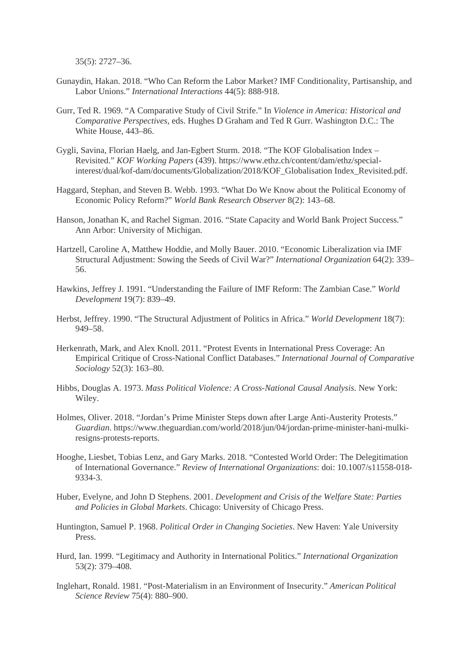35(5): 2727–36.

- Gunaydin, Hakan. 2018. "Who Can Reform the Labor Market? IMF Conditionality, Partisanship, and Labor Unions." *International Interactions* 44(5): 888-918.
- Gurr, Ted R. 1969. "A Comparative Study of Civil Strife." In *Violence in America: Historical and Comparative Perspectives*, eds. Hughes D Graham and Ted R Gurr. Washington D.C.: The White House, 443–86.
- Gygli, Savina, Florian Haelg, and Jan-Egbert Sturm. 2018. "The KOF Globalisation Index Revisited." *KOF Working Papers* (439). https://www.ethz.ch/content/dam/ethz/specialinterest/dual/kof-dam/documents/Globalization/2018/KOF\_Globalisation Index\_Revisited.pdf.
- Haggard, Stephan, and Steven B. Webb. 1993. "What Do We Know about the Political Economy of Economic Policy Reform?" *World Bank Research Observer* 8(2): 143–68.
- Hanson, Jonathan K, and Rachel Sigman. 2016. "State Capacity and World Bank Project Success." Ann Arbor: University of Michigan.
- Hartzell, Caroline A, Matthew Hoddie, and Molly Bauer. 2010. "Economic Liberalization via IMF Structural Adjustment: Sowing the Seeds of Civil War?" *International Organization* 64(2): 339– 56.
- Hawkins, Jeffrey J. 1991. "Understanding the Failure of IMF Reform: The Zambian Case." *World Development* 19(7): 839–49.
- Herbst, Jeffrey. 1990. "The Structural Adjustment of Politics in Africa." *World Development* 18(7): 949–58.
- Herkenrath, Mark, and Alex Knoll. 2011. "Protest Events in International Press Coverage: An Empirical Critique of Cross-National Conflict Databases." *International Journal of Comparative Sociology* 52(3): 163–80.
- Hibbs, Douglas A. 1973. *Mass Political Violence: A Cross-National Causal Analysis*. New York: Wiley.
- Holmes, Oliver. 2018. "Jordan's Prime Minister Steps down after Large Anti-Austerity Protests." *Guardian*. https://www.theguardian.com/world/2018/jun/04/jordan-prime-minister-hani-mulkiresigns-protests-reports.
- Hooghe, Liesbet, Tobias Lenz, and Gary Marks. 2018. "Contested World Order: The Delegitimation of International Governance." *Review of International Organizations*: doi: 10.1007/s11558-018- 9334-3.
- Huber, Evelyne, and John D Stephens. 2001. *Development and Crisis of the Welfare State: Parties and Policies in Global Markets*. Chicago: University of Chicago Press.
- Huntington, Samuel P. 1968. *Political Order in Changing Societies*. New Haven: Yale University Press.
- Hurd, Ian. 1999. "Legitimacy and Authority in International Politics." *International Organization* 53(2): 379–408.
- Inglehart, Ronald. 1981. "Post-Materialism in an Environment of Insecurity." *American Political Science Review* 75(4): 880–900.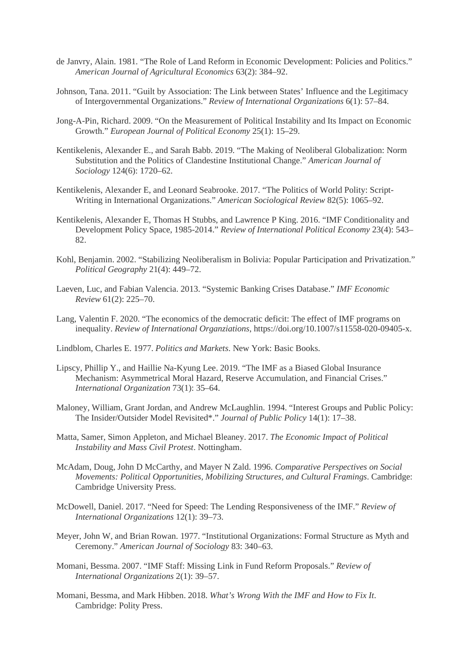- de Janvry, Alain. 1981. "The Role of Land Reform in Economic Development: Policies and Politics." *American Journal of Agricultural Economics* 63(2): 384–92.
- Johnson, Tana. 2011. "Guilt by Association: The Link between States' Influence and the Legitimacy of Intergovernmental Organizations." *Review of International Organizations* 6(1): 57–84.
- Jong-A-Pin, Richard. 2009. "On the Measurement of Political Instability and Its Impact on Economic Growth." *European Journal of Political Economy* 25(1): 15–29.
- Kentikelenis, Alexander E., and Sarah Babb. 2019. "The Making of Neoliberal Globalization: Norm Substitution and the Politics of Clandestine Institutional Change." *American Journal of Sociology* 124(6): 1720–62.
- Kentikelenis, Alexander E, and Leonard Seabrooke. 2017. "The Politics of World Polity: Script-Writing in International Organizations." *American Sociological Review* 82(5): 1065–92.
- Kentikelenis, Alexander E, Thomas H Stubbs, and Lawrence P King. 2016. "IMF Conditionality and Development Policy Space, 1985-2014." *Review of International Political Economy* 23(4): 543– 82.
- Kohl, Benjamin. 2002. "Stabilizing Neoliberalism in Bolivia: Popular Participation and Privatization." *Political Geography* 21(4): 449–72.
- Laeven, Luc, and Fabian Valencia. 2013. "Systemic Banking Crises Database." *IMF Economic Review* 61(2): 225–70.
- Lang, Valentin F. 2020. "The economics of the democratic deficit: The effect of IMF programs on inequality. *Review of International Organziations*, https://doi.org/10.1007/s11558-020-09405-x.
- Lindblom, Charles E. 1977. *Politics and Markets*. New York: Basic Books.
- Lipscy, Phillip Y., and Haillie Na-Kyung Lee. 2019. "The IMF as a Biased Global Insurance Mechanism: Asymmetrical Moral Hazard, Reserve Accumulation, and Financial Crises." *International Organization* 73(1): 35–64.
- Maloney, William, Grant Jordan, and Andrew McLaughlin. 1994. "Interest Groups and Public Policy: The Insider/Outsider Model Revisited\*." *Journal of Public Policy* 14(1): 17–38.
- Matta, Samer, Simon Appleton, and Michael Bleaney. 2017. *The Economic Impact of Political Instability and Mass Civil Protest*. Nottingham.
- McAdam, Doug, John D McCarthy, and Mayer N Zald. 1996. *Comparative Perspectives on Social Movements: Political Opportunities, Mobilizing Structures, and Cultural Framings*. Cambridge: Cambridge University Press.
- McDowell, Daniel. 2017. "Need for Speed: The Lending Responsiveness of the IMF." *Review of International Organizations* 12(1): 39–73.
- Meyer, John W, and Brian Rowan. 1977. "Institutional Organizations: Formal Structure as Myth and Ceremony." *American Journal of Sociology* 83: 340–63.
- Momani, Bessma. 2007. "IMF Staff: Missing Link in Fund Reform Proposals." *Review of International Organizations* 2(1): 39–57.
- Momani, Bessma, and Mark Hibben. 2018. *What's Wrong With the IMF and How to Fix It*. Cambridge: Polity Press.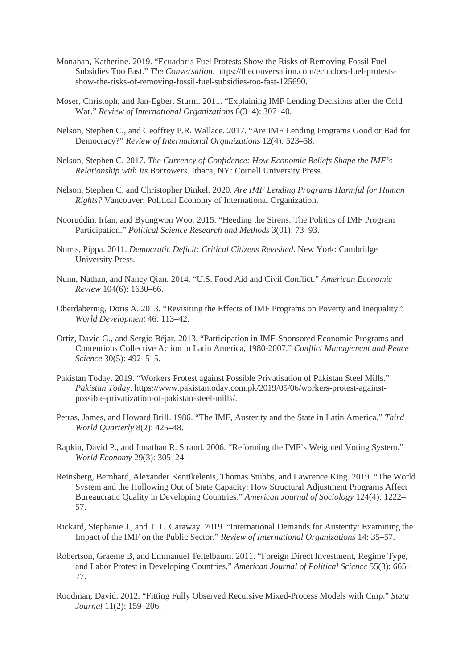- Monahan, Katherine. 2019. "Ecuador's Fuel Protests Show the Risks of Removing Fossil Fuel Subsidies Too Fast." *The Conversation*. https://theconversation.com/ecuadors-fuel-protestsshow-the-risks-of-removing-fossil-fuel-subsidies-too-fast-125690.
- Moser, Christoph, and Jan-Egbert Sturm. 2011. "Explaining IMF Lending Decisions after the Cold War." *Review of International Organizations* 6(3–4): 307–40.
- Nelson, Stephen C., and Geoffrey P.R. Wallace. 2017. "Are IMF Lending Programs Good or Bad for Democracy?" *Review of International Organizations* 12(4): 523–58.
- Nelson, Stephen C. 2017. *The Currency of Confidence: How Economic Beliefs Shape the IMF's Relationship with Its Borrowers*. Ithaca, NY: Cornell University Press.
- Nelson, Stephen C, and Christopher Dinkel. 2020. *Are IMF Lending Programs Harmful for Human Rights?* Vancouver: Political Economy of International Organization.
- Nooruddin, Irfan, and Byungwon Woo. 2015. "Heeding the Sirens: The Politics of IMF Program Participation." *Political Science Research and Methods* 3(01): 73–93.
- Norris, Pippa. 2011. *Democratic Deficit: Critical Citizens Revisited*. New York: Cambridge University Press.
- Nunn, Nathan, and Nancy Qian. 2014. "U.S. Food Aid and Civil Conflict." *American Economic Review* 104(6): 1630–66.
- Oberdabernig, Doris A. 2013. "Revisiting the Effects of IMF Programs on Poverty and Inequality." *World Development* 46: 113–42.
- Ortiz, David G., and Sergio Béjar. 2013. "Participation in IMF-Sponsored Economic Programs and Contentious Collective Action in Latin America, 1980-2007." *Conflict Management and Peace Science* 30(5): 492–515.
- Pakistan Today. 2019. "Workers Protest against Possible Privatisation of Pakistan Steel Mills." *Pakistan Today*. https://www.pakistantoday.com.pk/2019/05/06/workers-protest-againstpossible-privatization-of-pakistan-steel-mills/.
- Petras, James, and Howard Brill. 1986. "The IMF, Austerity and the State in Latin America." *Third World Quarterly* 8(2): 425–48.
- Rapkin, David P., and Jonathan R. Strand. 2006. "Reforming the IMF's Weighted Voting System." *World Economy* 29(3): 305–24.
- Reinsberg, Bernhard, Alexander Kentikelenis, Thomas Stubbs, and Lawrence King. 2019. "The World System and the Hollowing Out of State Capacity: How Structural Adjustment Programs Affect Bureaucratic Quality in Developing Countries." *American Journal of Sociology* 124(4): 1222– 57.
- Rickard, Stephanie J., and T. L. Caraway. 2019. "International Demands for Austerity: Examining the Impact of the IMF on the Public Sector." *Review of International Organizations* 14: 35–57.
- Robertson, Graeme B, and Emmanuel Teitelbaum. 2011. "Foreign Direct Investment, Regime Type, and Labor Protest in Developing Countries." *American Journal of Political Science* 55(3): 665– 77.
- Roodman, David. 2012. "Fitting Fully Observed Recursive Mixed-Process Models with Cmp." *Stata Journal* 11(2): 159–206.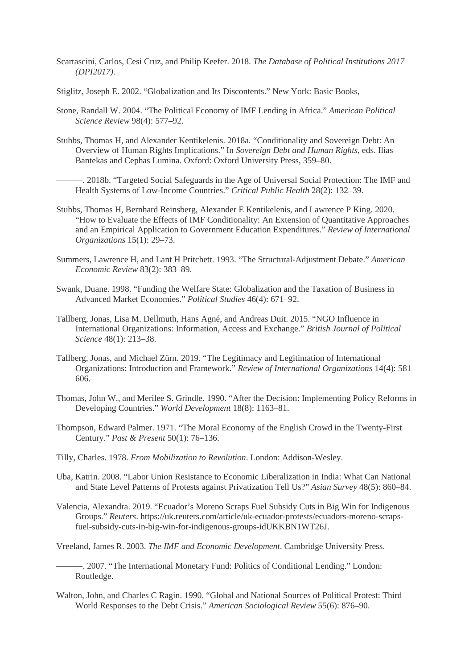- Scartascini, Carlos, Cesi Cruz, and Philip Keefer. 2018. *The Database of Political Institutions 2017 (DPI2017)*.
- Stiglitz, Joseph E. 2002. "Globalization and Its Discontents." New York: Basic Books,
- Stone, Randall W. 2004. "The Political Economy of IMF Lending in Africa." *American Political Science Review* 98(4): 577–92.
- Stubbs, Thomas H, and Alexander Kentikelenis. 2018a. "Conditionality and Sovereign Debt: An Overview of Human Rights Implications." In *Sovereign Debt and Human Rights*, eds. Ilias Bantekas and Cephas Lumina. Oxford: Oxford University Press, 359–80.

———. 2018b. "Targeted Social Safeguards in the Age of Universal Social Protection: The IMF and Health Systems of Low-Income Countries." *Critical Public Health* 28(2): 132–39.

- Stubbs, Thomas H, Bernhard Reinsberg, Alexander E Kentikelenis, and Lawrence P King. 2020. "How to Evaluate the Effects of IMF Conditionality: An Extension of Quantitative Approaches and an Empirical Application to Government Education Expenditures." *Review of International Organizations* 15(1): 29–73.
- Summers, Lawrence H, and Lant H Pritchett. 1993. "The Structural-Adjustment Debate." *American Economic Review* 83(2): 383–89.
- Swank, Duane. 1998. "Funding the Welfare State: Globalization and the Taxation of Business in Advanced Market Economies." *Political Studies* 46(4): 671–92.
- Tallberg, Jonas, Lisa M. Dellmuth, Hans Agné, and Andreas Duit. 2015. "NGO Influence in International Organizations: Information, Access and Exchange." *British Journal of Political Science* 48(1): 213–38.
- Tallberg, Jonas, and Michael Zürn. 2019. "The Legitimacy and Legitimation of International Organizations: Introduction and Framework." *Review of International Organizations* 14(4): 581– 606.
- Thomas, John W., and Merilee S. Grindle. 1990. "After the Decision: Implementing Policy Reforms in Developing Countries." *World Development* 18(8): 1163–81.
- Thompson, Edward Palmer. 1971. "The Moral Economy of the English Crowd in the Twenty-First Century." *Past & Present* 50(1): 76–136.
- Tilly, Charles. 1978. *From Mobilization to Revolution*. London: Addison-Wesley.
- Uba, Katrin. 2008. "Labor Union Resistance to Economic Liberalization in India: What Can National and State Level Patterns of Protests against Privatization Tell Us?" *Asian Survey* 48(5): 860–84.
- Valencia, Alexandra. 2019. "Ecuador's Moreno Scraps Fuel Subsidy Cuts in Big Win for Indigenous Groups." *Reuters*. https://uk.reuters.com/article/uk-ecuador-protests/ecuadors-moreno-scrapsfuel-subsidy-cuts-in-big-win-for-indigenous-groups-idUKKBN1WT26J.

Vreeland, James R. 2003. *The IMF and Economic Development*. Cambridge University Press.

———. 2007. "The International Monetary Fund: Politics of Conditional Lending." London: Routledge.

Walton, John, and Charles C Ragin. 1990. "Global and National Sources of Political Protest: Third World Responses to the Debt Crisis." *American Sociological Review* 55(6): 876–90.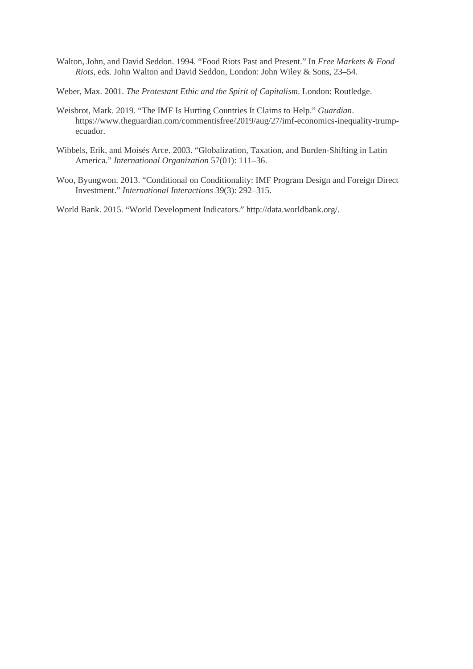- Walton, John, and David Seddon. 1994. "Food Riots Past and Present." In *Free Markets & Food Riots*, eds. John Walton and David Seddon, London: John Wiley & Sons, 23–54.
- Weber, Max. 2001. *The Protestant Ethic and the Spirit of Capitalism*. London: Routledge.
- Weisbrot, Mark. 2019. "The IMF Is Hurting Countries It Claims to Help." *Guardian*. https://www.theguardian.com/commentisfree/2019/aug/27/imf-economics-inequality-trumpecuador.
- Wibbels, Erik, and Moisés Arce. 2003. "Globalization, Taxation, and Burden-Shifting in Latin America." *International Organization* 57(01): 111–36.
- Woo, Byungwon. 2013. "Conditional on Conditionality: IMF Program Design and Foreign Direct Investment." *International Interactions* 39(3): 292–315.

World Bank. 2015. "World Development Indicators." http://data.worldbank.org/.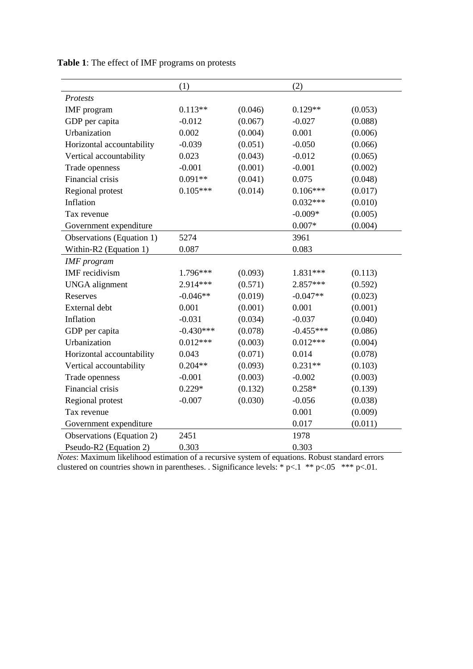|                                  | (1)         |         | (2)         |         |
|----------------------------------|-------------|---------|-------------|---------|
| Protests                         |             |         |             |         |
| <b>IMF</b> program               | $0.113**$   | (0.046) | $0.129**$   | (0.053) |
| GDP per capita                   | $-0.012$    | (0.067) | $-0.027$    | (0.088) |
| Urbanization                     | 0.002       | (0.004) | 0.001       | (0.006) |
| Horizontal accountability        | $-0.039$    | (0.051) | $-0.050$    | (0.066) |
| Vertical accountability          | 0.023       | (0.043) | $-0.012$    | (0.065) |
| Trade openness                   | $-0.001$    | (0.001) | $-0.001$    | (0.002) |
| Financial crisis                 | $0.091**$   | (0.041) | 0.075       | (0.048) |
| Regional protest                 | $0.105***$  | (0.014) | $0.106***$  | (0.017) |
| Inflation                        |             |         | $0.032***$  | (0.010) |
| Tax revenue                      |             |         | $-0.009*$   | (0.005) |
| Government expenditure           |             |         | $0.007*$    | (0.004) |
| Observations (Equation 1)        | 5274        |         | 3961        |         |
| Within-R2 (Equation 1)           | 0.087       |         | 0.083       |         |
| <b>IMF</b> program               |             |         |             |         |
| <b>IMF</b> recidivism            | 1.796***    | (0.093) | 1.831***    | (0.113) |
| <b>UNGA</b> alignment            | 2.914***    | (0.571) | 2.857***    | (0.592) |
| Reserves                         | $-0.046**$  | (0.019) | $-0.047**$  | (0.023) |
| External debt                    | 0.001       | (0.001) | 0.001       | (0.001) |
| Inflation                        | $-0.031$    | (0.034) | $-0.037$    | (0.040) |
| GDP per capita                   | $-0.430***$ | (0.078) | $-0.455***$ | (0.086) |
| Urbanization                     | $0.012***$  | (0.003) | $0.012***$  | (0.004) |
| Horizontal accountability        | 0.043       | (0.071) | 0.014       | (0.078) |
| Vertical accountability          | $0.204**$   | (0.093) | $0.231**$   | (0.103) |
| Trade openness                   | $-0.001$    | (0.003) | $-0.002$    | (0.003) |
| Financial crisis                 | $0.229*$    | (0.132) | $0.258*$    | (0.139) |
| Regional protest                 | $-0.007$    | (0.030) | $-0.056$    | (0.038) |
| Tax revenue                      |             |         | 0.001       | (0.009) |
| Government expenditure           |             |         | 0.017       | (0.011) |
| <b>Observations</b> (Equation 2) | 2451        |         | 1978        |         |
| Pseudo-R2 (Equation 2)           | 0.303       |         | 0.303       |         |

**Table 1**: The effect of IMF programs on protests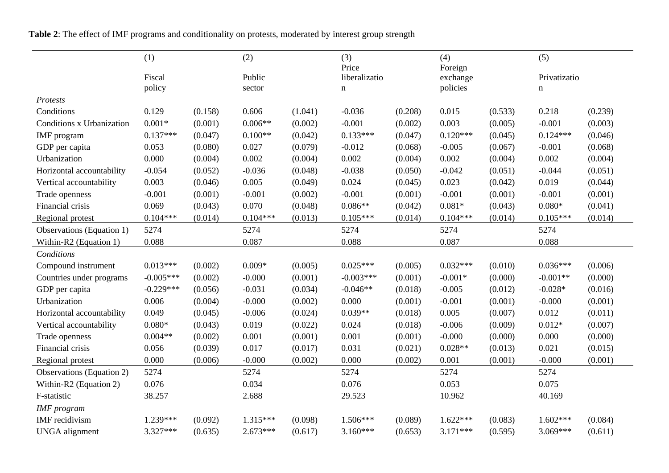**Table 2**: The effect of IMF programs and conditionality on protests, moderated by interest group strength

|                           | (1)         |         | (2)        |         | (3)                    |         | (4)                  |         | (5)          |         |
|---------------------------|-------------|---------|------------|---------|------------------------|---------|----------------------|---------|--------------|---------|
|                           | Fiscal      |         | Public     |         | Price<br>liberalizatio |         | Foreign              |         | Privatizatio |         |
|                           | policy      |         | sector     |         | $\mathbf n$            |         | exchange<br>policies |         | $\mathbf n$  |         |
| Protests                  |             |         |            |         |                        |         |                      |         |              |         |
| Conditions                | 0.129       | (0.158) | 0.606      | (1.041) | $-0.036$               | (0.208) | 0.015                | (0.533) | 0.218        | (0.239) |
| Conditions x Urbanization | $0.001*$    | (0.001) | $0.006**$  | (0.002) | $-0.001$               | (0.002) | 0.003                | (0.005) | $-0.001$     | (0.003) |
| <b>IMF</b> program        | $0.137***$  | (0.047) | $0.100**$  | (0.042) | $0.133***$             | (0.047) | $0.120***$           | (0.045) | $0.124***$   | (0.046) |
| GDP per capita            | 0.053       | (0.080) | 0.027      | (0.079) | $-0.012$               | (0.068) | $-0.005$             | (0.067) | $-0.001$     | (0.068) |
| Urbanization              | 0.000       | (0.004) | 0.002      | (0.004) | 0.002                  | (0.004) | 0.002                | (0.004) | 0.002        | (0.004) |
| Horizontal accountability | $-0.054$    | (0.052) | $-0.036$   | (0.048) | $-0.038$               | (0.050) | $-0.042$             | (0.051) | $-0.044$     | (0.051) |
| Vertical accountability   | 0.003       | (0.046) | 0.005      | (0.049) | 0.024                  | (0.045) | 0.023                | (0.042) | 0.019        | (0.044) |
| Trade openness            | $-0.001$    | (0.001) | $-0.001$   | (0.002) | $-0.001$               | (0.001) | $-0.001$             | (0.001) | $-0.001$     | (0.001) |
| Financial crisis          | 0.069       | (0.043) | 0.070      | (0.048) | $0.086**$              | (0.042) | $0.081*$             | (0.043) | $0.080*$     | (0.041) |
| Regional protest          | $0.104***$  | (0.014) | $0.104***$ | (0.013) | $0.105***$             | (0.014) | $0.104***$           | (0.014) | $0.105***$   | (0.014) |
| Observations (Equation 1) | 5274        |         | 5274       |         | 5274                   |         | 5274                 |         | 5274         |         |
| Within-R2 (Equation 1)    | 0.088       |         | 0.087      |         | 0.088                  |         | 0.087                |         | 0.088        |         |
| Conditions                |             |         |            |         |                        |         |                      |         |              |         |
| Compound instrument       | $0.013***$  | (0.002) | $0.009*$   | (0.005) | $0.025***$             | (0.005) | $0.032***$           | (0.010) | $0.036***$   | (0.006) |
| Countries under programs  | $-0.005***$ | (0.002) | $-0.000$   | (0.001) | $-0.003***$            | (0.001) | $-0.001*$            | (0.000) | $-0.001**$   | (0.000) |
| GDP per capita            | $-0.229***$ | (0.056) | $-0.031$   | (0.034) | $-0.046**$             | (0.018) | $-0.005$             | (0.012) | $-0.028*$    | (0.016) |
| Urbanization              | 0.006       | (0.004) | $-0.000$   | (0.002) | 0.000                  | (0.001) | $-0.001$             | (0.001) | $-0.000$     | (0.001) |
| Horizontal accountability | 0.049       | (0.045) | $-0.006$   | (0.024) | $0.039**$              | (0.018) | 0.005                | (0.007) | 0.012        | (0.011) |
| Vertical accountability   | $0.080*$    | (0.043) | 0.019      | (0.022) | 0.024                  | (0.018) | $-0.006$             | (0.009) | $0.012*$     | (0.007) |
| Trade openness            | $0.004**$   | (0.002) | 0.001      | (0.001) | 0.001                  | (0.001) | $-0.000$             | (0.000) | 0.000        | (0.000) |
| Financial crisis          | 0.056       | (0.039) | 0.017      | (0.017) | 0.031                  | (0.021) | $0.028**$            | (0.013) | 0.021        | (0.015) |
| Regional protest          | 0.000       | (0.006) | $-0.000$   | (0.002) | 0.000                  | (0.002) | 0.001                | (0.001) | $-0.000$     | (0.001) |
| Observations (Equation 2) | 5274        |         | 5274       |         | 5274                   |         | 5274                 |         | 5274         |         |
| Within-R2 (Equation 2)    | 0.076       |         | 0.034      |         | 0.076                  |         | 0.053                |         | 0.075        |         |
| F-statistic               | 38.257      |         | 2.688      |         | 29.523                 |         | 10.962               |         | 40.169       |         |
| <b>IMF</b> program        |             |         |            |         |                        |         |                      |         |              |         |
| <b>IMF</b> recidivism     | 1.239***    | (0.092) | $1.315***$ | (0.098) | $1.506***$             | (0.089) | $1.622***$           | (0.083) | $1.602***$   | (0.084) |
| <b>UNGA</b> alignment     | 3.327***    | (0.635) | $2.673***$ | (0.617) | $3.160***$             | (0.653) | $3.171***$           | (0.595) | 3.069***     | (0.611) |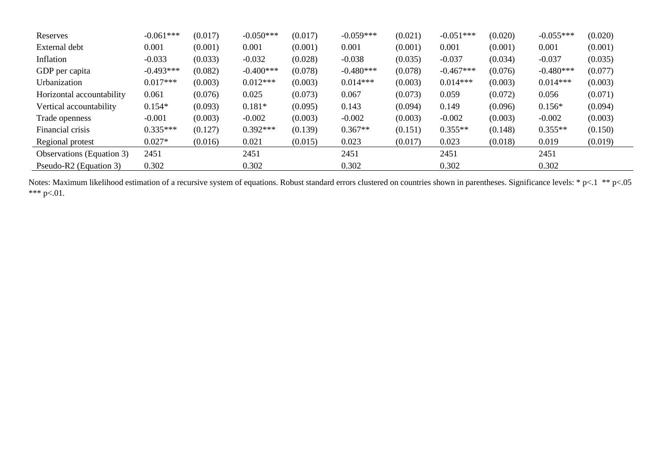| Reserves                         | $-0.061***$ | (0.017) | $-0.050***$ | (0.017) | $-0.059***$ | (0.021) | $-0.051***$ | (0.020) | $-0.055***$ | (0.020) |
|----------------------------------|-------------|---------|-------------|---------|-------------|---------|-------------|---------|-------------|---------|
| External debt                    | 0.001       | (0.001) | 0.001       | (0.001) | 0.001       | (0.001) | 0.001       | (0.001) | 0.001       | (0.001) |
| Inflation                        | $-0.033$    | (0.033) | $-0.032$    | (0.028) | $-0.038$    | (0.035) | $-0.037$    | (0.034) | $-0.037$    | (0.035) |
| GDP per capita                   | $-0.493***$ | (0.082) | $-0.400***$ | (0.078) | $-0.480***$ | (0.078) | $-0.467***$ | (0.076) | $-0.480***$ | (0.077) |
| Urbanization                     | $0.017***$  | (0.003) | $0.012***$  | (0.003) | $0.014***$  | (0.003) | $0.014***$  | (0.003) | $0.014***$  | (0.003) |
| Horizontal accountability        | 0.061       | (0.076) | 0.025       | (0.073) | 0.067       | (0.073) | 0.059       | (0.072) | 0.056       | (0.071) |
| Vertical accountability          | $0.154*$    | (0.093) | $0.181*$    | (0.095) | 0.143       | (0.094) | 0.149       | (0.096) | $0.156*$    | (0.094) |
| Trade openness                   | $-0.001$    | (0.003) | $-0.002$    | (0.003) | $-0.002$    | (0.003) | $-0.002$    | (0.003) | $-0.002$    | (0.003) |
| Financial crisis                 | $0.335***$  | (0.127) | $0.392***$  | (0.139) | $0.367**$   | (0.151) | $0.355**$   | (0.148) | $0.355**$   | (0.150) |
| Regional protest                 | $0.027*$    | (0.016) | 0.021       | (0.015) | 0.023       | (0.017) | 0.023       | (0.018) | 0.019       | (0.019) |
| <b>Observations</b> (Equation 3) | 2451        |         | 2451        |         | 2451        |         | 2451        |         | 2451        |         |
| Pseudo-R2 (Equation 3)           | 0.302       |         | 0.302       |         | 0.302       |         | 0.302       |         | 0.302       |         |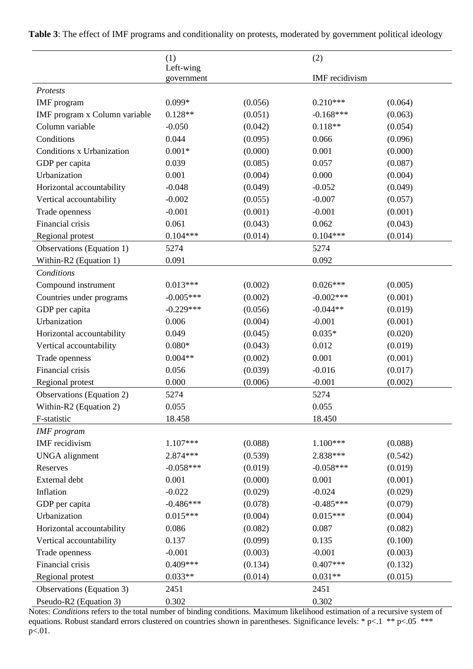|                                  | (1)                     |         | (2)            |         |
|----------------------------------|-------------------------|---------|----------------|---------|
|                                  | Left-wing<br>government |         | IMF recidivism |         |
| <b>Protests</b>                  |                         |         |                |         |
| IMF program                      | $0.099*$                | (0.056) | $0.210***$     | (0.064) |
| IMF program x Column variable    | $0.128**$               | (0.051) | $-0.168***$    | (0.063) |
| Column variable                  | $-0.050$                | (0.042) | $0.118**$      | (0.054) |
| Conditions                       | 0.044                   | (0.095) | 0.066          | (0.096) |
| Conditions x Urbanization        | $0.001*$                | (0.000) | 0.001          | (0.000) |
| GDP per capita                   | 0.039                   | (0.085) | 0.057          | (0.087) |
| Urbanization                     | 0.001                   | (0.004) | 0.000          | (0.004) |
| Horizontal accountability        | $-0.048$                | (0.049) | $-0.052$       | (0.049) |
| Vertical accountability          | $-0.002$                | (0.055) | $-0.007$       | (0.057) |
| Trade openness                   | $-0.001$                | (0.001) | $-0.001$       | (0.001) |
| Financial crisis                 | 0.061                   | (0.043) | 0.062          | (0.043) |
| Regional protest                 | $0.104***$              | (0.014) | $0.104***$     | (0.014) |
| Observations (Equation 1)        | 5274                    |         | 5274           |         |
| Within-R2 (Equation 1)           | 0.091                   |         | 0.092          |         |
| Conditions                       |                         |         |                |         |
| Compound instrument              | $0.013***$              | (0.002) | $0.026***$     | (0.005) |
| Countries under programs         | $-0.005***$             | (0.002) | $-0.002***$    | (0.001) |
| GDP per capita                   | $-0.229***$             | (0.056) | $-0.044**$     | (0.019) |
| Urbanization                     | 0.006                   | (0.004) | $-0.001$       | (0.001) |
| Horizontal accountability        | 0.049                   | (0.045) | $0.035*$       | (0.020) |
| Vertical accountability          | $0.080*$                | (0.043) | 0.012          | (0.019) |
| Trade openness                   | $0.004**$               | (0.002) | 0.001          | (0.001) |
| Financial crisis                 | 0.056                   | (0.039) | $-0.016$       | (0.017) |
| Regional protest                 | 0.000                   | (0.006) | $-0.001$       | (0.002) |
| <b>Observations</b> (Equation 2) | 5274                    |         | 5274           |         |
| Within-R2 (Equation 2)           | 0.055                   |         | 0.055          |         |
| F-statistic                      | 18.458                  |         | 18.450         |         |
| <b>IMF</b> program               |                         |         |                |         |
| <b>IMF</b> recidivism            | 1.107***                | (0.088) | $1.100***$     | (0.088) |
| <b>UNGA</b> alignment            | 2.874***                | (0.539) | 2.838***       | (0.542) |
| Reserves                         | $-0.058***$             | (0.019) | $-0.058***$    | (0.019) |
| External debt                    | 0.001                   | (0.000) | 0.001          | (0.001) |
| Inflation                        | $-0.022$                | (0.029) | $-0.024$       | (0.029) |
| GDP per capita                   | $-0.486***$             | (0.078) | $-0.485***$    | (0.079) |
| Urbanization                     | $0.015***$              | (0.004) | $0.015***$     | (0.004) |
| Horizontal accountability        | 0.086                   | (0.082) | 0.087          | (0.082) |
| Vertical accountability          | 0.137                   | (0.099) | 0.135          | (0.100) |
| Trade openness                   | $-0.001$                | (0.003) | $-0.001$       | (0.003) |
| Financial crisis                 | $0.409***$              | (0.134) | $0.407***$     | (0.132) |
| Regional protest                 | $0.033**$               | (0.014) | $0.031**$      | (0.015) |
| Observations (Equation 3)        | 2451                    |         | 2451           |         |
| Pseudo-R2 (Equation 3)           | 0.302                   |         | 0.302          |         |

**Table 3**: The effect of IMF programs and conditionality on protests, moderated by government political ideology

Notes: *Conditions* refers to the total number of binding conditions. Maximum likelihood estimation of a recursive system of equations. Robust standard errors clustered on countries shown in parentheses. Significance levels: \* p<.1 \*\* p<.05 \*\*\* p<.01.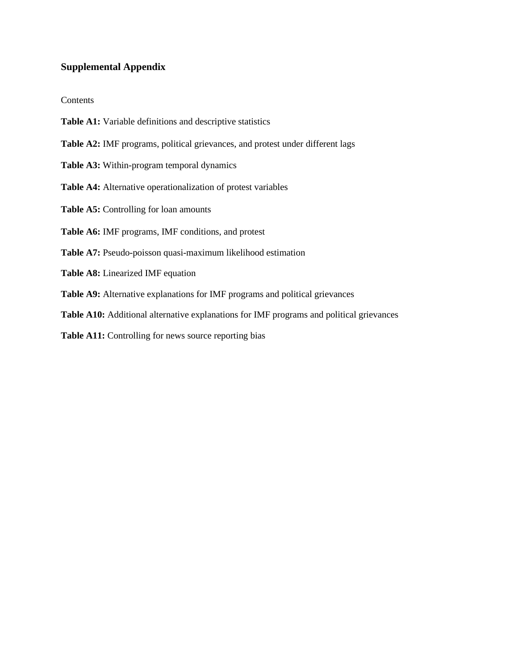# **Supplemental Appendix**

#### Contents

- **Table A1:** Variable definitions and descriptive statistics
- **Table A2:** IMF programs, political grievances, and protest under different lags
- **Table A3:** Within-program temporal dynamics
- **Table A4:** Alternative operationalization of protest variables
- **Table A5:** Controlling for loan amounts
- **Table A6:** IMF programs, IMF conditions, and protest
- **Table A7:** Pseudo-poisson quasi-maximum likelihood estimation
- **Table A8:** Linearized IMF equation
- **Table A9:** Alternative explanations for IMF programs and political grievances
- **Table A10:** Additional alternative explanations for IMF programs and political grievances
- Table A11: Controlling for news source reporting bias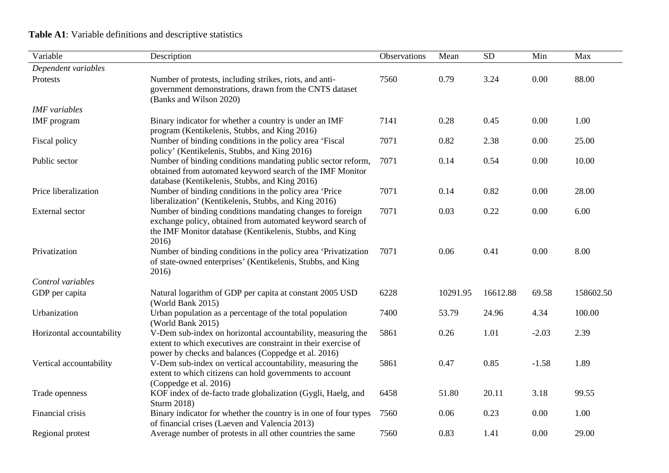# **Table A1**: Variable definitions and descriptive statistics

| Variable                  | Description                                                                                                                                                                                 | Observations | Mean     | SD       | Min     | Max       |
|---------------------------|---------------------------------------------------------------------------------------------------------------------------------------------------------------------------------------------|--------------|----------|----------|---------|-----------|
| Dependent variables       |                                                                                                                                                                                             |              |          |          |         |           |
| Protests                  | Number of protests, including strikes, riots, and anti-<br>government demonstrations, drawn from the CNTS dataset<br>(Banks and Wilson 2020)                                                | 7560         | 0.79     | 3.24     | 0.00    | 88.00     |
| <b>IMF</b> variables      |                                                                                                                                                                                             |              |          |          |         |           |
| IMF program               | Binary indicator for whether a country is under an IMF<br>program (Kentikelenis, Stubbs, and King 2016)                                                                                     | 7141         | 0.28     | 0.45     | 0.00    | 1.00      |
| Fiscal policy             | Number of binding conditions in the policy area 'Fiscal<br>policy' (Kentikelenis, Stubbs, and King 2016)                                                                                    | 7071         | 0.82     | 2.38     | 0.00    | 25.00     |
| Public sector             | Number of binding conditions mandating public sector reform,<br>obtained from automated keyword search of the IMF Monitor<br>database (Kentikelenis, Stubbs, and King 2016)                 | 7071         | 0.14     | 0.54     | 0.00    | 10.00     |
| Price liberalization      | Number of binding conditions in the policy area 'Price<br>liberalization' (Kentikelenis, Stubbs, and King 2016)                                                                             | 7071         | 0.14     | 0.82     | 0.00    | 28.00     |
| <b>External</b> sector    | Number of binding conditions mandating changes to foreign<br>exchange policy, obtained from automated keyword search of<br>the IMF Monitor database (Kentikelenis, Stubbs, and King<br>2016 | 7071         | 0.03     | 0.22     | 0.00    | 6.00      |
| Privatization             | Number of binding conditions in the policy area 'Privatization<br>of state-owned enterprises' (Kentikelenis, Stubbs, and King<br>2016)                                                      | 7071         | 0.06     | 0.41     | 0.00    | 8.00      |
| Control variables         |                                                                                                                                                                                             |              |          |          |         |           |
| GDP per capita            | Natural logarithm of GDP per capita at constant 2005 USD<br>(World Bank 2015)                                                                                                               | 6228         | 10291.95 | 16612.88 | 69.58   | 158602.50 |
| Urbanization              | Urban population as a percentage of the total population<br>(World Bank 2015)                                                                                                               | 7400         | 53.79    | 24.96    | 4.34    | 100.00    |
| Horizontal accountability | V-Dem sub-index on horizontal accountability, measuring the<br>extent to which executives are constraint in their exercise of<br>power by checks and balances (Coppedge et al. 2016)        | 5861         | 0.26     | 1.01     | $-2.03$ | 2.39      |
| Vertical accountability   | V-Dem sub-index on vertical accountability, measuring the<br>extent to which citizens can hold governments to account<br>(Coppedge et al. 2016)                                             | 5861         | 0.47     | 0.85     | $-1.58$ | 1.89      |
| Trade openness            | KOF index of de-facto trade globalization (Gygli, Haelg, and<br>Sturm 2018)                                                                                                                 | 6458         | 51.80    | 20.11    | 3.18    | 99.55     |
| Financial crisis          | Binary indicator for whether the country is in one of four types<br>of financial crises (Laeven and Valencia 2013)                                                                          | 7560         | 0.06     | 0.23     | 0.00    | 1.00      |
| Regional protest          | Average number of protests in all other countries the same                                                                                                                                  | 7560         | 0.83     | 1.41     | 0.00    | 29.00     |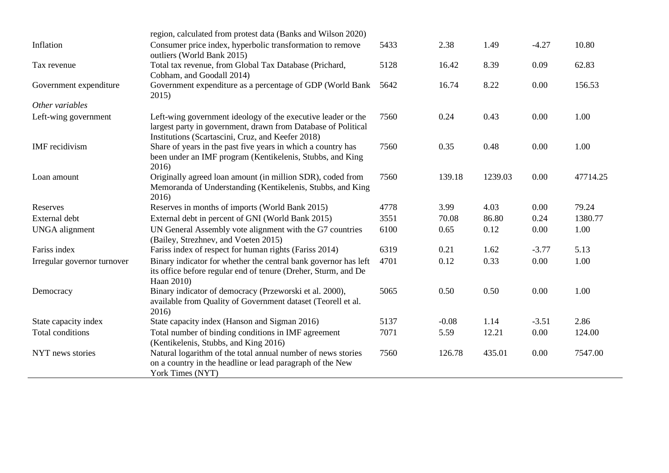|                             | region, calculated from protest data (Banks and Wilson 2020)                                                                                                                       |      |         |         |         |          |
|-----------------------------|------------------------------------------------------------------------------------------------------------------------------------------------------------------------------------|------|---------|---------|---------|----------|
| Inflation                   | Consumer price index, hyperbolic transformation to remove<br>outliers (World Bank 2015)                                                                                            | 5433 | 2.38    | 1.49    | $-4.27$ | 10.80    |
| Tax revenue                 | Total tax revenue, from Global Tax Database (Prichard,<br>Cobham, and Goodall 2014)                                                                                                | 5128 | 16.42   | 8.39    | 0.09    | 62.83    |
| Government expenditure      | Government expenditure as a percentage of GDP (World Bank<br>2015)                                                                                                                 | 5642 | 16.74   | 8.22    | 0.00    | 156.53   |
| Other variables             |                                                                                                                                                                                    |      |         |         |         |          |
| Left-wing government        | Left-wing government ideology of the executive leader or the<br>largest party in government, drawn from Database of Political<br>Institutions (Scartascini, Cruz, and Keefer 2018) | 7560 | 0.24    | 0.43    | 0.00    | 1.00     |
| IMF recidivism              | Share of years in the past five years in which a country has<br>been under an IMF program (Kentikelenis, Stubbs, and King<br>2016)                                                 | 7560 | 0.35    | 0.48    | 0.00    | 1.00     |
| Loan amount                 | Originally agreed loan amount (in million SDR), coded from<br>Memoranda of Understanding (Kentikelenis, Stubbs, and King<br>2016)                                                  | 7560 | 139.18  | 1239.03 | 0.00    | 47714.25 |
| Reserves                    | Reserves in months of imports (World Bank 2015)                                                                                                                                    | 4778 | 3.99    | 4.03    | 0.00    | 79.24    |
| External debt               | External debt in percent of GNI (World Bank 2015)                                                                                                                                  | 3551 | 70.08   | 86.80   | 0.24    | 1380.77  |
| <b>UNGA</b> alignment       | UN General Assembly vote alignment with the G7 countries<br>(Bailey, Strezhnev, and Voeten 2015)                                                                                   | 6100 | 0.65    | 0.12    | 0.00    | 1.00     |
| Fariss index                | Fariss index of respect for human rights (Fariss 2014)                                                                                                                             | 6319 | 0.21    | 1.62    | $-3.77$ | 5.13     |
| Irregular governor turnover | Binary indicator for whether the central bank governor has left<br>its office before regular end of tenure (Dreher, Sturm, and De<br>Haan 2010)                                    | 4701 | 0.12    | 0.33    | 0.00    | 1.00     |
| Democracy                   | Binary indicator of democracy (Przeworski et al. 2000),<br>available from Quality of Government dataset (Teorell et al.<br>2016)                                                   | 5065 | 0.50    | 0.50    | 0.00    | 1.00     |
| State capacity index        | State capacity index (Hanson and Sigman 2016)                                                                                                                                      | 5137 | $-0.08$ | 1.14    | $-3.51$ | 2.86     |
| Total conditions            | Total number of binding conditions in IMF agreement<br>(Kentikelenis, Stubbs, and King 2016)                                                                                       | 7071 | 5.59    | 12.21   | 0.00    | 124.00   |
| NYT news stories            | Natural logarithm of the total annual number of news stories<br>on a country in the headline or lead paragraph of the New<br>York Times (NYT)                                      | 7560 | 126.78  | 435.01  | 0.00    | 7547.00  |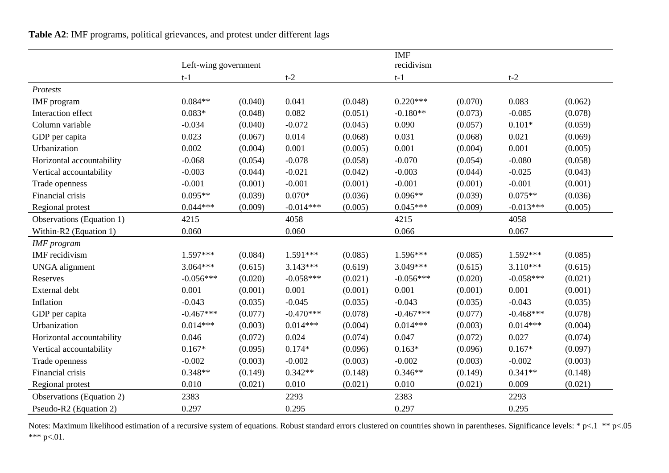**Table A2**: IMF programs, political grievances, and protest under different lags

|                                  |                      |         |             |         | <b>IMF</b>  |         |             |         |
|----------------------------------|----------------------|---------|-------------|---------|-------------|---------|-------------|---------|
|                                  | Left-wing government |         |             |         | recidivism  |         |             |         |
|                                  | $t-1$                |         | $t-2$       |         | $t-1$       |         | $t-2$       |         |
| Protests                         |                      |         |             |         |             |         |             |         |
| IMF program                      | $0.084**$            | (0.040) | 0.041       | (0.048) | $0.220***$  | (0.070) | 0.083       | (0.062) |
| Interaction effect               | $0.083*$             | (0.048) | 0.082       | (0.051) | $-0.180**$  | (0.073) | $-0.085$    | (0.078) |
| Column variable                  | $-0.034$             | (0.040) | $-0.072$    | (0.045) | 0.090       | (0.057) | $0.101*$    | (0.059) |
| GDP per capita                   | 0.023                | (0.067) | 0.014       | (0.068) | 0.031       | (0.068) | 0.021       | (0.069) |
| Urbanization                     | 0.002                | (0.004) | 0.001       | (0.005) | 0.001       | (0.004) | 0.001       | (0.005) |
| Horizontal accountability        | $-0.068$             | (0.054) | $-0.078$    | (0.058) | $-0.070$    | (0.054) | $-0.080$    | (0.058) |
| Vertical accountability          | $-0.003$             | (0.044) | $-0.021$    | (0.042) | $-0.003$    | (0.044) | $-0.025$    | (0.043) |
| Trade openness                   | $-0.001$             | (0.001) | $-0.001$    | (0.001) | $-0.001$    | (0.001) | $-0.001$    | (0.001) |
| Financial crisis                 | $0.095**$            | (0.039) | $0.070*$    | (0.036) | $0.096**$   | (0.039) | $0.075**$   | (0.036) |
| Regional protest                 | $0.044***$           | (0.009) | $-0.014***$ | (0.005) | $0.045***$  | (0.009) | $-0.013***$ | (0.005) |
| Observations (Equation 1)        | 4215                 |         | 4058        |         | 4215        |         | 4058        |         |
| Within-R2 (Equation 1)           | 0.060                |         | 0.060       |         | 0.066       |         | 0.067       |         |
| <b>IMF</b> program               |                      |         |             |         |             |         |             |         |
| IMF recidivism                   | 1.597***             | (0.084) | $1.591***$  | (0.085) | $1.596***$  | (0.085) | 1.592***    | (0.085) |
| <b>UNGA</b> alignment            | $3.064***$           | (0.615) | $3.143***$  | (0.619) | 3.049***    | (0.615) | $3.110***$  | (0.615) |
| Reserves                         | $-0.056***$          | (0.020) | $-0.058***$ | (0.021) | $-0.056***$ | (0.020) | $-0.058***$ | (0.021) |
| External debt                    | 0.001                | (0.001) | 0.001       | (0.001) | 0.001       | (0.001) | 0.001       | (0.001) |
| Inflation                        | $-0.043$             | (0.035) | $-0.045$    | (0.035) | $-0.043$    | (0.035) | $-0.043$    | (0.035) |
| GDP per capita                   | $-0.467***$          | (0.077) | $-0.470***$ | (0.078) | $-0.467***$ | (0.077) | $-0.468***$ | (0.078) |
| Urbanization                     | $0.014***$           | (0.003) | $0.014***$  | (0.004) | $0.014***$  | (0.003) | $0.014***$  | (0.004) |
| Horizontal accountability        | 0.046                | (0.072) | 0.024       | (0.074) | 0.047       | (0.072) | 0.027       | (0.074) |
| Vertical accountability          | $0.167*$             | (0.095) | $0.174*$    | (0.096) | $0.163*$    | (0.096) | $0.167*$    | (0.097) |
| Trade openness                   | $-0.002$             | (0.003) | $-0.002$    | (0.003) | $-0.002$    | (0.003) | $-0.002$    | (0.003) |
| Financial crisis                 | $0.348**$            | (0.149) | $0.342**$   | (0.148) | $0.346**$   | (0.149) | $0.341**$   | (0.148) |
| Regional protest                 | 0.010                | (0.021) | 0.010       | (0.021) | 0.010       | (0.021) | 0.009       | (0.021) |
| <b>Observations</b> (Equation 2) | 2383                 |         | 2293        |         | 2383        |         | 2293        |         |
| Pseudo-R2 (Equation 2)           | 0.297                |         | 0.295       |         | 0.297       |         | 0.295       |         |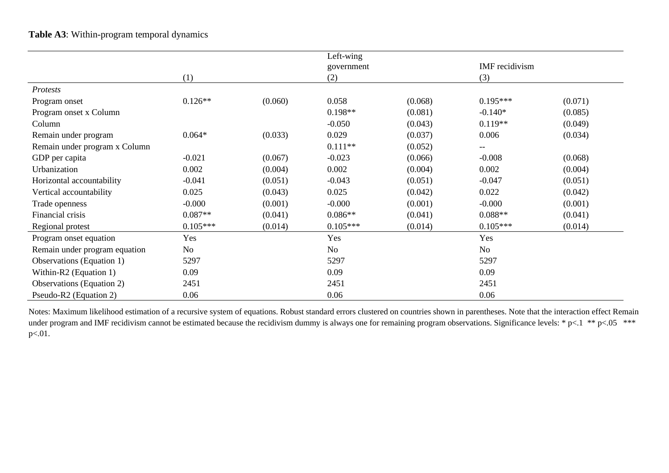# **Table A3**: Within-program temporal dynamics

|                               |            |         | Left-wing  |         |                |         |
|-------------------------------|------------|---------|------------|---------|----------------|---------|
|                               |            |         | government |         | IMF recidivism |         |
|                               | (1)        |         | (2)        |         | (3)            |         |
| Protests                      |            |         |            |         |                |         |
| Program onset                 | $0.126**$  | (0.060) | 0.058      | (0.068) | $0.195***$     | (0.071) |
| Program onset x Column        |            |         | $0.198**$  | (0.081) | $-0.140*$      | (0.085) |
| Column                        |            |         | $-0.050$   | (0.043) | $0.119**$      | (0.049) |
| Remain under program          | $0.064*$   | (0.033) | 0.029      | (0.037) | 0.006          | (0.034) |
| Remain under program x Column |            |         | $0.111**$  | (0.052) |                |         |
| GDP per capita                | $-0.021$   | (0.067) | $-0.023$   | (0.066) | $-0.008$       | (0.068) |
| Urbanization                  | 0.002      | (0.004) | 0.002      | (0.004) | 0.002          | (0.004) |
| Horizontal accountability     | $-0.041$   | (0.051) | $-0.043$   | (0.051) | $-0.047$       | (0.051) |
| Vertical accountability       | 0.025      | (0.043) | 0.025      | (0.042) | 0.022          | (0.042) |
| Trade openness                | $-0.000$   | (0.001) | $-0.000$   | (0.001) | $-0.000$       | (0.001) |
| Financial crisis              | $0.087**$  | (0.041) | $0.086**$  | (0.041) | $0.088**$      | (0.041) |
| Regional protest              | $0.105***$ | (0.014) | $0.105***$ | (0.014) | $0.105***$     | (0.014) |
| Program onset equation        | Yes        |         | Yes        |         | Yes            |         |
| Remain under program equation | No         |         | No         |         | No             |         |
| Observations (Equation 1)     | 5297       |         | 5297       |         | 5297           |         |
| Within-R2 (Equation 1)        | 0.09       |         | 0.09       |         | 0.09           |         |
| Observations (Equation 2)     | 2451       |         | 2451       |         | 2451           |         |
| Pseudo-R2 (Equation 2)        | 0.06       |         | 0.06       |         | 0.06           |         |

Notes: Maximum likelihood estimation of a recursive system of equations. Robust standard errors clustered on countries shown in parentheses. Note that the interaction effect Remain under program and IMF recidivism cannot be estimated because the recidivism dummy is always one for remaining program observations. Significance levels: \* p<.1 \*\* p<.05 \*\*\* p<.01.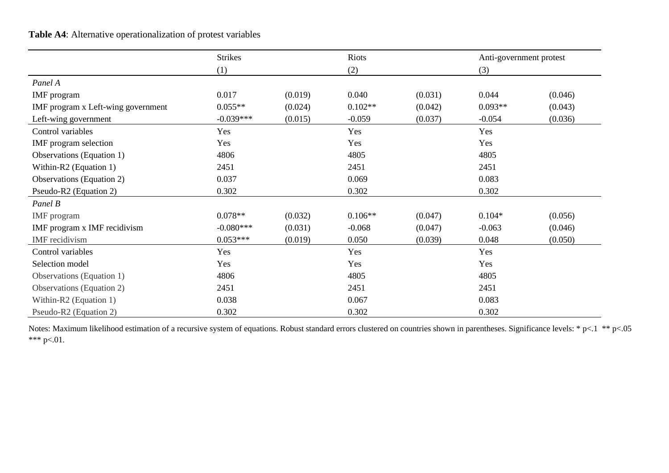# **Table A4**: Alternative operationalization of protest variables

|                                    | <b>Strikes</b> |         | Riots     |         | Anti-government protest |         |
|------------------------------------|----------------|---------|-----------|---------|-------------------------|---------|
|                                    | (1)            |         | (2)       |         | (3)                     |         |
| Panel A                            |                |         |           |         |                         |         |
| IMF program                        | 0.017          | (0.019) | 0.040     | (0.031) | 0.044                   | (0.046) |
| IMF program x Left-wing government | $0.055**$      | (0.024) | $0.102**$ | (0.042) | $0.093**$               | (0.043) |
| Left-wing government               | $-0.039***$    | (0.015) | $-0.059$  | (0.037) | $-0.054$                | (0.036) |
| Control variables                  | Yes            |         | Yes       |         | Yes                     |         |
| IMF program selection              | Yes            |         | Yes       |         | Yes                     |         |
| Observations (Equation 1)          | 4806           |         | 4805      |         | 4805                    |         |
| Within-R2 (Equation 1)             | 2451           |         | 2451      |         | 2451                    |         |
| <b>Observations</b> (Equation 2)   | 0.037          |         | 0.069     |         | 0.083                   |         |
| Pseudo-R2 (Equation 2)             | 0.302          |         | 0.302     |         | 0.302                   |         |
| Panel B                            |                |         |           |         |                         |         |
| IMF program                        | $0.078**$      | (0.032) | $0.106**$ | (0.047) | $0.104*$                | (0.056) |
| IMF program x IMF recidivism       | $-0.080***$    | (0.031) | $-0.068$  | (0.047) | $-0.063$                | (0.046) |
| IMF recidivism                     | $0.053***$     | (0.019) | 0.050     | (0.039) | 0.048                   | (0.050) |
| Control variables                  | Yes            |         | Yes       |         | Yes                     |         |
| Selection model                    | Yes            |         | Yes       |         | Yes                     |         |
| Observations (Equation 1)          | 4806           |         | 4805      |         | 4805                    |         |
| Observations (Equation 2)          | 2451           |         | 2451      |         | 2451                    |         |
| Within-R2 (Equation 1)             | 0.038          |         | 0.067     |         | 0.083                   |         |
| Pseudo-R2 (Equation 2)             | 0.302          |         | 0.302     |         | 0.302                   |         |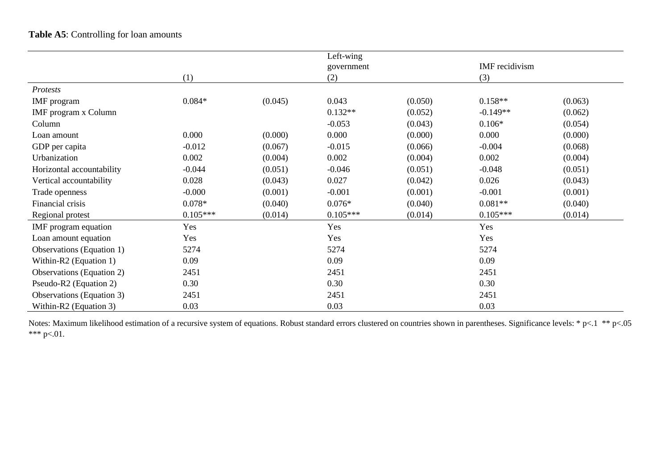# **Table A5**: Controlling for loan amounts

|                                  |            |         | Left-wing  |         |                |         |
|----------------------------------|------------|---------|------------|---------|----------------|---------|
|                                  |            |         | government |         | IMF recidivism |         |
|                                  | (1)        |         | (2)        |         | (3)            |         |
| Protests                         |            |         |            |         |                |         |
| IMF program                      | $0.084*$   | (0.045) | 0.043      | (0.050) | $0.158**$      | (0.063) |
| <b>IMF</b> program x Column      |            |         | $0.132**$  | (0.052) | $-0.149**$     | (0.062) |
| Column                           |            |         | $-0.053$   | (0.043) | $0.106*$       | (0.054) |
| Loan amount                      | 0.000      | (0.000) | 0.000      | (0.000) | 0.000          | (0.000) |
| GDP per capita                   | $-0.012$   | (0.067) | $-0.015$   | (0.066) | $-0.004$       | (0.068) |
| Urbanization                     | 0.002      | (0.004) | 0.002      | (0.004) | 0.002          | (0.004) |
| Horizontal accountability        | $-0.044$   | (0.051) | $-0.046$   | (0.051) | $-0.048$       | (0.051) |
| Vertical accountability          | 0.028      | (0.043) | 0.027      | (0.042) | 0.026          | (0.043) |
| Trade openness                   | $-0.000$   | (0.001) | $-0.001$   | (0.001) | $-0.001$       | (0.001) |
| Financial crisis                 | $0.078*$   | (0.040) | $0.076*$   | (0.040) | $0.081**$      | (0.040) |
| Regional protest                 | $0.105***$ | (0.014) | $0.105***$ | (0.014) | $0.105***$     | (0.014) |
| IMF program equation             | Yes        |         | Yes        |         | Yes            |         |
| Loan amount equation             | Yes        |         | Yes        |         | Yes            |         |
| Observations (Equation 1)        | 5274       |         | 5274       |         | 5274           |         |
| Within-R2 (Equation 1)           | 0.09       |         | 0.09       |         | 0.09           |         |
| <b>Observations</b> (Equation 2) | 2451       |         | 2451       |         | 2451           |         |
| Pseudo-R2 (Equation 2)           | 0.30       |         | 0.30       |         | 0.30           |         |
| Observations (Equation 3)        | 2451       |         | 2451       |         | 2451           |         |
| Within-R2 (Equation 3)           | 0.03       |         | 0.03       |         | 0.03           |         |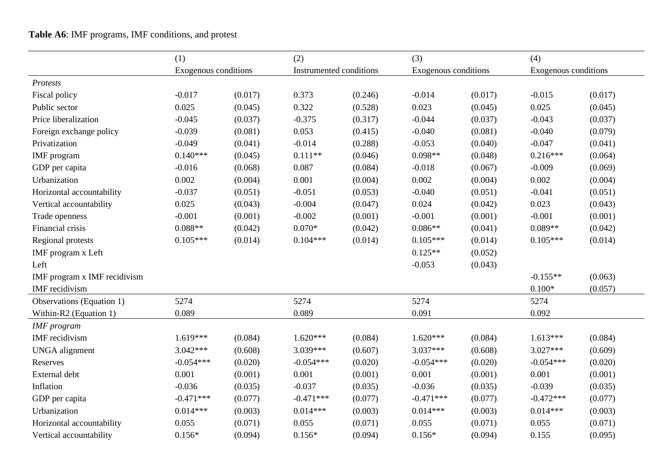# **Table A6**: IMF programs, IMF conditions, and protest

|                              | (1)                  |         | (2)                     |         | (3)                  |         | (4)                  |         |
|------------------------------|----------------------|---------|-------------------------|---------|----------------------|---------|----------------------|---------|
|                              | Exogenous conditions |         | Instrumented conditions |         | Exogenous conditions |         | Exogenous conditions |         |
| Protests                     |                      |         |                         |         |                      |         |                      |         |
| Fiscal policy                | $-0.017$             | (0.017) | 0.373                   | (0.246) | $-0.014$             | (0.017) | $-0.015$             | (0.017) |
| Public sector                | 0.025                | (0.045) | 0.322                   | (0.528) | 0.023                | (0.045) | 0.025                | (0.045) |
| Price liberalization         | $-0.045$             | (0.037) | $-0.375$                | (0.317) | $-0.044$             | (0.037) | $-0.043$             | (0.037) |
| Foreign exchange policy      | $-0.039$             | (0.081) | 0.053                   | (0.415) | $-0.040$             | (0.081) | $-0.040$             | (0.079) |
| Privatization                | $-0.049$             | (0.041) | $-0.014$                | (0.288) | $-0.053$             | (0.040) | $-0.047$             | (0.041) |
| IMF program                  | $0.140***$           | (0.045) | $0.111**$               | (0.046) | $0.098**$            | (0.048) | $0.216***$           | (0.064) |
| GDP per capita               | $-0.016$             | (0.068) | 0.087                   | (0.084) | $-0.018$             | (0.067) | $-0.009$             | (0.069) |
| Urbanization                 | 0.002                | (0.004) | 0.001                   | (0.004) | 0.002                | (0.004) | 0.002                | (0.004) |
| Horizontal accountability    | $-0.037$             | (0.051) | $-0.051$                | (0.053) | $-0.040$             | (0.051) | $-0.041$             | (0.051) |
| Vertical accountability      | 0.025                | (0.043) | $-0.004$                | (0.047) | 0.024                | (0.042) | 0.023                | (0.043) |
| Trade openness               | $-0.001$             | (0.001) | $-0.002$                | (0.001) | $-0.001$             | (0.001) | $-0.001$             | (0.001) |
| Financial crisis             | $0.088**$            | (0.042) | $0.070*$                | (0.042) | $0.086**$            | (0.041) | $0.089**$            | (0.042) |
| Regional protests            | $0.105***$           | (0.014) | $0.104***$              | (0.014) | $0.105***$           | (0.014) | $0.105***$           | (0.014) |
| IMF program x Left           |                      |         |                         |         | $0.125**$            | (0.052) |                      |         |
| Left                         |                      |         |                         |         | $-0.053$             | (0.043) |                      |         |
| IMF program x IMF recidivism |                      |         |                         |         |                      |         | $-0.155**$           | (0.063) |
| IMF recidivism               |                      |         |                         |         |                      |         | $0.100*$             | (0.057) |
| Observations (Equation 1)    | 5274                 |         | 5274                    |         | 5274                 |         | 5274                 |         |
| Within-R2 (Equation 1)       | 0.089                |         | 0.089                   |         | 0.091                |         | 0.092                |         |
| <b>IMF</b> program           |                      |         |                         |         |                      |         |                      |         |
| IMF recidivism               | $1.619***$           | (0.084) | $1.620***$              | (0.084) | $1.620***$           | (0.084) | $1.613***$           | (0.084) |
| <b>UNGA</b> alignment        | $3.042***$           | (0.608) | 3.039***                | (0.607) | $3.037***$           | (0.608) | 3.027***             | (0.609) |
| Reserves                     | $-0.054***$          | (0.020) | $-0.054***$             | (0.020) | $-0.054***$          | (0.020) | $-0.054***$          | (0.020) |
| External debt                | 0.001                | (0.001) | 0.001                   | (0.001) | 0.001                | (0.001) | 0.001                | (0.001) |
| Inflation                    | $-0.036$             | (0.035) | $-0.037$                | (0.035) | $-0.036$             | (0.035) | $-0.039$             | (0.035) |
| GDP per capita               | $-0.471***$          | (0.077) | $-0.471***$             | (0.077) | $-0.471***$          | (0.077) | $-0.472***$          | (0.077) |
| Urbanization                 | $0.014***$           | (0.003) | $0.014***$              | (0.003) | $0.014***$           | (0.003) | $0.014***$           | (0.003) |
| Horizontal accountability    | 0.055                | (0.071) | 0.055                   | (0.071) | 0.055                | (0.071) | 0.055                | (0.071) |
| Vertical accountability      | $0.156*$             | (0.094) | $0.156*$                | (0.094) | $0.156*$             | (0.094) | 0.155                | (0.095) |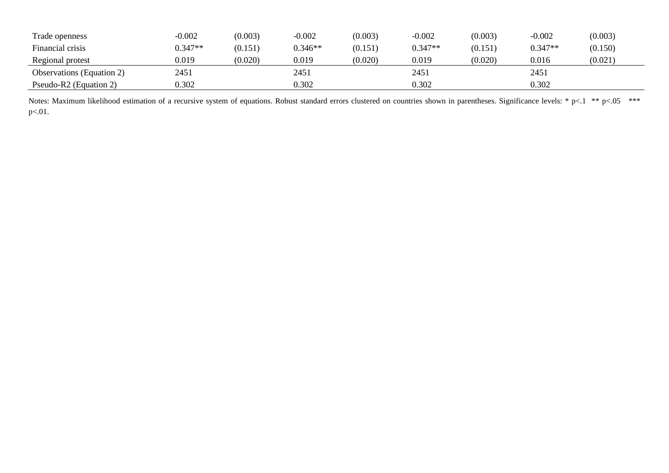| Trade openness                   | $-0.002$  | (0.003) | $-0.002$  | (0.003) | $-0.002$  | (0.003) | $-0.002$  | (0.003) |
|----------------------------------|-----------|---------|-----------|---------|-----------|---------|-----------|---------|
| Financial crisis                 | $0.347**$ | (0.151) | $0.346**$ | (0.151) | $0.347**$ | (0.151) | $0.347**$ | (0.150) |
| Regional protest                 | 0.019     | (0.020) | 0.019     | (0.020) | 0.019     | (0.020) | 0.016     | (0.021) |
| <b>Observations</b> (Equation 2) | 2451      |         | 2451      |         | 2451      |         | 2451      |         |
| Pseudo-R2 (Equation 2)           | 0.302     |         | 0.302     |         | 0.302     |         | 0.302     |         |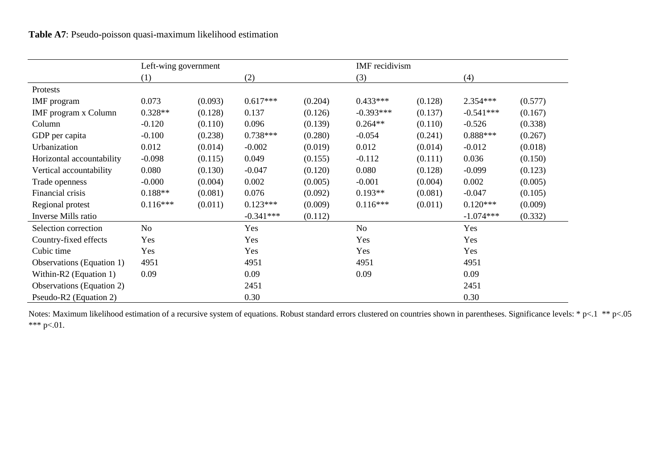|                                  | Left-wing government |         |             |         |             | IMF recidivism |             |         |  |  |
|----------------------------------|----------------------|---------|-------------|---------|-------------|----------------|-------------|---------|--|--|
|                                  | (1)                  |         | (2)         |         | (3)         |                | (4)         |         |  |  |
| Protests                         |                      |         |             |         |             |                |             |         |  |  |
| <b>IMF</b> program               | 0.073                | (0.093) | $0.617***$  | (0.204) | $0.433***$  | (0.128)        | 2.354***    | (0.577) |  |  |
| IMF program x Column             | $0.328**$            | (0.128) | 0.137       | (0.126) | $-0.393***$ | (0.137)        | $-0.541***$ | (0.167) |  |  |
| Column                           | $-0.120$             | (0.110) | 0.096       | (0.139) | $0.264**$   | (0.110)        | $-0.526$    | (0.338) |  |  |
| GDP per capita                   | $-0.100$             | (0.238) | $0.738***$  | (0.280) | $-0.054$    | (0.241)        | $0.888***$  | (0.267) |  |  |
| Urbanization                     | 0.012                | (0.014) | $-0.002$    | (0.019) | 0.012       | (0.014)        | $-0.012$    | (0.018) |  |  |
| Horizontal accountability        | $-0.098$             | (0.115) | 0.049       | (0.155) | $-0.112$    | (0.111)        | 0.036       | (0.150) |  |  |
| Vertical accountability          | 0.080                | (0.130) | $-0.047$    | (0.120) | 0.080       | (0.128)        | $-0.099$    | (0.123) |  |  |
| Trade openness                   | $-0.000$             | (0.004) | 0.002       | (0.005) | $-0.001$    | (0.004)        | 0.002       | (0.005) |  |  |
| Financial crisis                 | $0.188**$            | (0.081) | 0.076       | (0.092) | $0.193**$   | (0.081)        | $-0.047$    | (0.105) |  |  |
| Regional protest                 | $0.116***$           | (0.011) | $0.123***$  | (0.009) | $0.116***$  | (0.011)        | $0.120***$  | (0.009) |  |  |
| Inverse Mills ratio              |                      |         | $-0.341***$ | (0.112) |             |                | $-1.074***$ | (0.332) |  |  |
| Selection correction             | No                   |         | Yes         |         | No          |                | Yes         |         |  |  |
| Country-fixed effects            | Yes                  |         | Yes         |         | Yes         |                | Yes         |         |  |  |
| Cubic time                       | Yes                  |         | Yes         |         | Yes         |                | Yes         |         |  |  |
| Observations (Equation 1)        | 4951                 |         | 4951        |         | 4951        |                | 4951        |         |  |  |
| Within-R2 (Equation 1)           | 0.09                 |         | 0.09        |         | 0.09        |                | 0.09        |         |  |  |
| <b>Observations</b> (Equation 2) |                      |         | 2451        |         |             |                | 2451        |         |  |  |
| Pseudo-R2 (Equation 2)           |                      |         | 0.30        |         |             |                | 0.30        |         |  |  |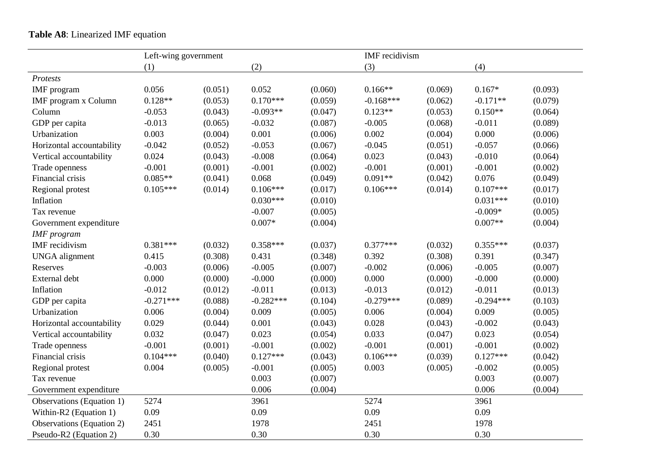# **Table A8**: Linearized IMF equation

|                             | Left-wing government |         |             |         | IMF recidivism |         |             |         |
|-----------------------------|----------------------|---------|-------------|---------|----------------|---------|-------------|---------|
|                             | (1)                  |         | (2)         |         | (3)            |         | (4)         |         |
| Protests                    |                      |         |             |         |                |         |             |         |
| IMF program                 | 0.056                | (0.051) | 0.052       | (0.060) | $0.166**$      | (0.069) | $0.167*$    | (0.093) |
| <b>IMF</b> program x Column | $0.128**$            | (0.053) | $0.170***$  | (0.059) | $-0.168***$    | (0.062) | $-0.171**$  | (0.079) |
| Column                      | $-0.053$             | (0.043) | $-0.093**$  | (0.047) | $0.123**$      | (0.053) | $0.150**$   | (0.064) |
| GDP per capita              | $-0.013$             | (0.065) | $-0.032$    | (0.087) | $-0.005$       | (0.068) | $-0.011$    | (0.089) |
| Urbanization                | 0.003                | (0.004) | 0.001       | (0.006) | 0.002          | (0.004) | 0.000       | (0.006) |
| Horizontal accountability   | $-0.042$             | (0.052) | $-0.053$    | (0.067) | $-0.045$       | (0.051) | $-0.057$    | (0.066) |
| Vertical accountability     | 0.024                | (0.043) | $-0.008$    | (0.064) | 0.023          | (0.043) | $-0.010$    | (0.064) |
| Trade openness              | $-0.001$             | (0.001) | $-0.001$    | (0.002) | $-0.001$       | (0.001) | $-0.001$    | (0.002) |
| Financial crisis            | $0.085**$            | (0.041) | 0.068       | (0.049) | $0.091**$      | (0.042) | 0.076       | (0.049) |
| Regional protest            | $0.105***$           | (0.014) | $0.106***$  | (0.017) | $0.106***$     | (0.014) | $0.107***$  | (0.017) |
| Inflation                   |                      |         | $0.030***$  | (0.010) |                |         | $0.031***$  | (0.010) |
| Tax revenue                 |                      |         | $-0.007$    | (0.005) |                |         | $-0.009*$   | (0.005) |
| Government expenditure      |                      |         | $0.007*$    | (0.004) |                |         | $0.007**$   | (0.004) |
| <b>IMF</b> program          |                      |         |             |         |                |         |             |         |
| <b>IMF</b> recidivism       | $0.381***$           | (0.032) | $0.358***$  | (0.037) | $0.377***$     | (0.032) | $0.355***$  | (0.037) |
| <b>UNGA</b> alignment       | 0.415                | (0.308) | 0.431       | (0.348) | 0.392          | (0.308) | 0.391       | (0.347) |
| Reserves                    | $-0.003$             | (0.006) | $-0.005$    | (0.007) | $-0.002$       | (0.006) | $-0.005$    | (0.007) |
| External debt               | 0.000                | (0.000) | $-0.000$    | (0.000) | 0.000          | (0.000) | $-0.000$    | (0.000) |
| Inflation                   | $-0.012$             | (0.012) | $-0.011$    | (0.013) | $-0.013$       | (0.012) | $-0.011$    | (0.013) |
| GDP per capita              | $-0.271***$          | (0.088) | $-0.282***$ | (0.104) | $-0.279***$    | (0.089) | $-0.294***$ | (0.103) |
| Urbanization                | 0.006                | (0.004) | 0.009       | (0.005) | 0.006          | (0.004) | 0.009       | (0.005) |
| Horizontal accountability   | 0.029                | (0.044) | 0.001       | (0.043) | 0.028          | (0.043) | $-0.002$    | (0.043) |
| Vertical accountability     | 0.032                | (0.047) | 0.023       | (0.054) | 0.033          | (0.047) | 0.023       | (0.054) |
| Trade openness              | $-0.001$             | (0.001) | $-0.001$    | (0.002) | $-0.001$       | (0.001) | $-0.001$    | (0.002) |
| Financial crisis            | $0.104***$           | (0.040) | $0.127***$  | (0.043) | $0.106***$     | (0.039) | $0.127***$  | (0.042) |
| Regional protest            | 0.004                | (0.005) | $-0.001$    | (0.005) | 0.003          | (0.005) | $-0.002$    | (0.005) |
| Tax revenue                 |                      |         | 0.003       | (0.007) |                |         | 0.003       | (0.007) |
| Government expenditure      |                      |         | 0.006       | (0.004) |                |         | 0.006       | (0.004) |
| Observations (Equation 1)   | 5274                 |         | 3961        |         | 5274           |         | 3961        |         |
| Within-R2 (Equation 1)      | 0.09                 |         | 0.09        |         | 0.09           |         | 0.09        |         |
| Observations (Equation 2)   | 2451                 |         | 1978        |         | 2451           |         | 1978        |         |
| Pseudo-R2 (Equation 2)      | 0.30                 |         | 0.30        |         | 0.30           |         | 0.30        |         |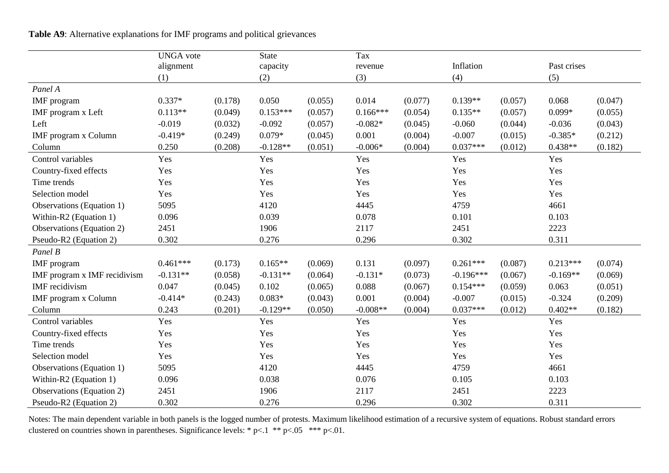**Table A9**: Alternative explanations for IMF programs and political grievances

|                                  | <b>UNGA</b> vote |         | <b>State</b> |         | Tax        |         |             |         |             |         |
|----------------------------------|------------------|---------|--------------|---------|------------|---------|-------------|---------|-------------|---------|
|                                  | alignment        |         | capacity     |         | revenue    |         | Inflation   |         | Past crises |         |
|                                  | (1)              |         | (2)          |         | (3)        |         | (4)         |         | (5)         |         |
| Panel A                          |                  |         |              |         |            |         |             |         |             |         |
| <b>IMF</b> program               | $0.337*$         | (0.178) | 0.050        | (0.055) | 0.014      | (0.077) | $0.139**$   | (0.057) | 0.068       | (0.047) |
| IMF program x Left               | $0.113**$        | (0.049) | $0.153***$   | (0.057) | $0.166***$ | (0.054) | $0.135**$   | (0.057) | $0.099*$    | (0.055) |
| Left                             | $-0.019$         | (0.032) | $-0.092$     | (0.057) | $-0.082*$  | (0.045) | $-0.060$    | (0.044) | $-0.036$    | (0.043) |
| IMF program x Column             | $-0.419*$        | (0.249) | $0.079*$     | (0.045) | 0.001      | (0.004) | $-0.007$    | (0.015) | $-0.385*$   | (0.212) |
| Column                           | 0.250            | (0.208) | $-0.128**$   | (0.051) | $-0.006*$  | (0.004) | $0.037***$  | (0.012) | $0.438**$   | (0.182) |
| Control variables                | Yes              |         | Yes          |         | Yes        |         | Yes         |         | Yes         |         |
| Country-fixed effects            | Yes              |         | Yes          |         | Yes        |         | Yes         |         | Yes         |         |
| Time trends                      | Yes              |         | Yes          |         | Yes        |         | Yes         |         | Yes         |         |
| Selection model                  | Yes              |         | Yes          |         | Yes        |         | Yes         |         | Yes         |         |
| Observations (Equation 1)        | 5095             |         | 4120         |         | 4445       |         | 4759        |         | 4661        |         |
| Within-R2 (Equation 1)           | 0.096            |         | 0.039        |         | 0.078      |         | 0.101       |         | 0.103       |         |
| Observations (Equation 2)        | 2451             |         | 1906         |         | 2117       |         | 2451        |         | 2223        |         |
| Pseudo-R2 (Equation 2)           | 0.302            |         | 0.276        |         | 0.296      |         | 0.302       |         | 0.311       |         |
| Panel B                          |                  |         |              |         |            |         |             |         |             |         |
| <b>IMF</b> program               | $0.461***$       | (0.173) | $0.165**$    | (0.069) | 0.131      | (0.097) | $0.261***$  | (0.087) | $0.213***$  | (0.074) |
| IMF program x IMF recidivism     | $-0.131**$       | (0.058) | $-0.131**$   | (0.064) | $-0.131*$  | (0.073) | $-0.196***$ | (0.067) | $-0.169**$  | (0.069) |
| IMF recidivism                   | 0.047            | (0.045) | 0.102        | (0.065) | 0.088      | (0.067) | $0.154***$  | (0.059) | 0.063       | (0.051) |
| IMF program x Column             | $-0.414*$        | (0.243) | $0.083*$     | (0.043) | 0.001      | (0.004) | $-0.007$    | (0.015) | $-0.324$    | (0.209) |
| Column                           | 0.243            | (0.201) | $-0.129**$   | (0.050) | $-0.008**$ | (0.004) | $0.037***$  | (0.012) | $0.402**$   | (0.182) |
| Control variables                | Yes              |         | Yes          |         | Yes        |         | Yes         |         | Yes         |         |
| Country-fixed effects            | Yes              |         | Yes          |         | Yes        |         | Yes         |         | Yes         |         |
| Time trends                      | Yes              |         | Yes          |         | Yes        |         | Yes         |         | Yes         |         |
| Selection model                  | Yes              |         | Yes          |         | Yes        |         | Yes         |         | Yes         |         |
| Observations (Equation 1)        | 5095             |         | 4120         |         | 4445       |         | 4759        |         | 4661        |         |
| Within-R2 (Equation 1)           | 0.096            |         | 0.038        |         | 0.076      |         | 0.105       |         | 0.103       |         |
| <b>Observations</b> (Equation 2) | 2451             |         | 1906         |         | 2117       |         | 2451        |         | 2223        |         |
| Pseudo-R2 (Equation 2)           | 0.302            |         | 0.276        |         | 0.296      |         | 0.302       |         | 0.311       |         |

Notes: The main dependent variable in both panels is the logged number of protests. Maximum likelihood estimation of a recursive system of equations. Robust standard errors clustered on countries shown in parentheses. Significance levels: \* p<.1 \*\* p<.05 \*\*\* p<.01.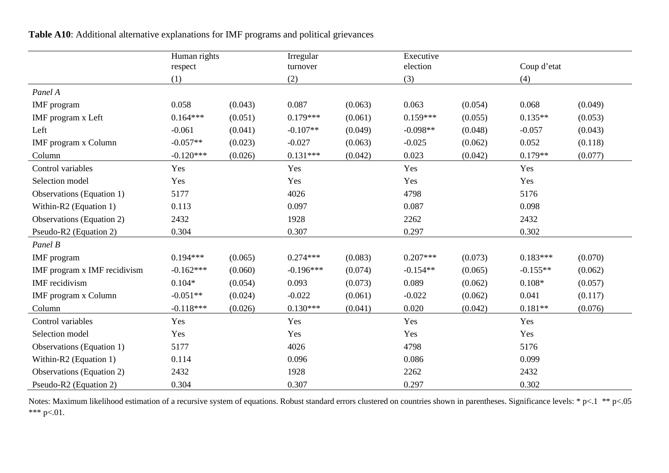| Table A10: Additional alternative explanations for IMF programs and political grievances |  |  |  |  |
|------------------------------------------------------------------------------------------|--|--|--|--|
|------------------------------------------------------------------------------------------|--|--|--|--|

|                                  | Human rights |         | Irregular   |         | Executive  |         |             |         |
|----------------------------------|--------------|---------|-------------|---------|------------|---------|-------------|---------|
|                                  | respect      |         | turnover    |         | election   |         | Coup d'etat |         |
|                                  | (1)          |         | (2)         |         | (3)        |         | (4)         |         |
| Panel A                          |              |         |             |         |            |         |             |         |
| <b>IMF</b> program               | 0.058        | (0.043) | 0.087       | (0.063) | 0.063      | (0.054) | 0.068       | (0.049) |
| IMF program x Left               | $0.164***$   | (0.051) | $0.179***$  | (0.061) | $0.159***$ | (0.055) | $0.135**$   | (0.053) |
| Left                             | $-0.061$     | (0.041) | $-0.107**$  | (0.049) | $-0.098**$ | (0.048) | $-0.057$    | (0.043) |
| IMF program x Column             | $-0.057**$   | (0.023) | $-0.027$    | (0.063) | $-0.025$   | (0.062) | 0.052       | (0.118) |
| Column                           | $-0.120***$  | (0.026) | $0.131***$  | (0.042) | 0.023      | (0.042) | $0.179**$   | (0.077) |
| Control variables                | Yes          |         | Yes         |         | Yes        |         | Yes         |         |
| Selection model                  | Yes          |         | Yes         |         | Yes        |         | Yes         |         |
| Observations (Equation 1)        | 5177         |         | 4026        |         | 4798       |         | 5176        |         |
| Within-R2 (Equation 1)           | 0.113        |         | 0.097       |         | 0.087      |         | 0.098       |         |
| Observations (Equation 2)        | 2432         |         | 1928        |         | 2262       |         | 2432        |         |
| Pseudo-R2 (Equation 2)           | 0.304        |         | 0.307       |         | 0.297      |         | 0.302       |         |
| Panel B                          |              |         |             |         |            |         |             |         |
| <b>IMF</b> program               | $0.194***$   | (0.065) | $0.274***$  | (0.083) | $0.207***$ | (0.073) | $0.183***$  | (0.070) |
| IMF program x IMF recidivism     | $-0.162***$  | (0.060) | $-0.196***$ | (0.074) | $-0.154**$ | (0.065) | $-0.155**$  | (0.062) |
| <b>IMF</b> recidivism            | $0.104*$     | (0.054) | 0.093       | (0.073) | 0.089      | (0.062) | $0.108*$    | (0.057) |
| IMF program x Column             | $-0.051**$   | (0.024) | $-0.022$    | (0.061) | $-0.022$   | (0.062) | 0.041       | (0.117) |
| Column                           | $-0.118***$  | (0.026) | $0.130***$  | (0.041) | 0.020      | (0.042) | $0.181**$   | (0.076) |
| Control variables                | Yes          |         | Yes         |         | Yes        |         | Yes         |         |
| Selection model                  | Yes          |         | Yes         |         | Yes        |         | Yes         |         |
| Observations (Equation 1)        | 5177         |         | 4026        |         | 4798       |         | 5176        |         |
| Within-R2 (Equation 1)           | 0.114        |         | 0.096       |         | 0.086      |         | 0.099       |         |
| <b>Observations</b> (Equation 2) | 2432         |         | 1928        |         | 2262       |         | 2432        |         |
| Pseudo-R2 (Equation 2)           | 0.304        |         | 0.307       |         | 0.297      |         | 0.302       |         |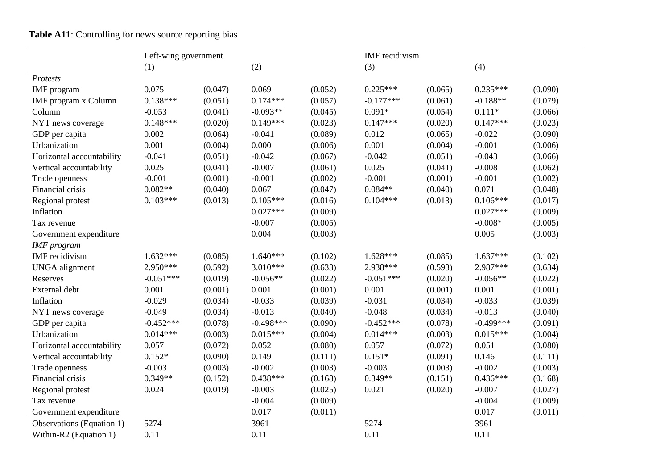**Table A11**: Controlling for news source reporting bias

|                           | Left-wing government |         |             |         | IMF recidivism |         |             |         |
|---------------------------|----------------------|---------|-------------|---------|----------------|---------|-------------|---------|
|                           | (1)                  |         | (2)         |         | (3)            |         | (4)         |         |
| Protests                  |                      |         |             |         |                |         |             |         |
| IMF program               | 0.075                | (0.047) | 0.069       | (0.052) | $0.225***$     | (0.065) | $0.235***$  | (0.090) |
| IMF program x Column      | $0.138***$           | (0.051) | $0.174***$  | (0.057) | $-0.177***$    | (0.061) | $-0.188**$  | (0.079) |
| Column                    | $-0.053$             | (0.041) | $-0.093**$  | (0.045) | $0.091*$       | (0.054) | $0.111*$    | (0.066) |
| NYT news coverage         | $0.148***$           | (0.020) | $0.149***$  | (0.023) | $0.147***$     | (0.020) | $0.147***$  | (0.023) |
| GDP per capita            | 0.002                | (0.064) | $-0.041$    | (0.089) | 0.012          | (0.065) | $-0.022$    | (0.090) |
| Urbanization              | 0.001                | (0.004) | 0.000       | (0.006) | 0.001          | (0.004) | $-0.001$    | (0.006) |
| Horizontal accountability | $-0.041$             | (0.051) | $-0.042$    | (0.067) | $-0.042$       | (0.051) | $-0.043$    | (0.066) |
| Vertical accountability   | 0.025                | (0.041) | $-0.007$    | (0.061) | 0.025          | (0.041) | $-0.008$    | (0.062) |
| Trade openness            | $-0.001$             | (0.001) | $-0.001$    | (0.002) | $-0.001$       | (0.001) | $-0.001$    | (0.002) |
| Financial crisis          | $0.082**$            | (0.040) | 0.067       | (0.047) | $0.084**$      | (0.040) | 0.071       | (0.048) |
| Regional protest          | $0.103***$           | (0.013) | $0.105***$  | (0.016) | $0.104***$     | (0.013) | $0.106***$  | (0.017) |
| Inflation                 |                      |         | $0.027***$  | (0.009) |                |         | $0.027***$  | (0.009) |
| Tax revenue               |                      |         | $-0.007$    | (0.005) |                |         | $-0.008*$   | (0.005) |
| Government expenditure    |                      |         | 0.004       | (0.003) |                |         | 0.005       | (0.003) |
| <b>IMF</b> program        |                      |         |             |         |                |         |             |         |
| <b>IMF</b> recidivism     | $1.632***$           | (0.085) | $1.640***$  | (0.102) | $1.628***$     | (0.085) | $1.637***$  | (0.102) |
| <b>UNGA</b> alignment     | 2.950***             | (0.592) | 3.010***    | (0.633) | 2.938***       | (0.593) | 2.987***    | (0.634) |
| Reserves                  | $-0.051***$          | (0.019) | $-0.056**$  | (0.022) | $-0.051***$    | (0.020) | $-0.056**$  | (0.022) |
| External debt             | 0.001                | (0.001) | 0.001       | (0.001) | 0.001          | (0.001) | 0.001       | (0.001) |
| Inflation                 | $-0.029$             | (0.034) | $-0.033$    | (0.039) | $-0.031$       | (0.034) | $-0.033$    | (0.039) |
| NYT news coverage         | $-0.049$             | (0.034) | $-0.013$    | (0.040) | $-0.048$       | (0.034) | $-0.013$    | (0.040) |
| GDP per capita            | $-0.452***$          | (0.078) | $-0.498***$ | (0.090) | $-0.452***$    | (0.078) | $-0.499***$ | (0.091) |
| Urbanization              | $0.014***$           | (0.003) | $0.015***$  | (0.004) | $0.014***$     | (0.003) | $0.015***$  | (0.004) |
| Horizontal accountability | 0.057                | (0.072) | 0.052       | (0.080) | 0.057          | (0.072) | 0.051       | (0.080) |
| Vertical accountability   | $0.152*$             | (0.090) | 0.149       | (0.111) | $0.151*$       | (0.091) | 0.146       | (0.111) |
| Trade openness            | $-0.003$             | (0.003) | $-0.002$    | (0.003) | $-0.003$       | (0.003) | $-0.002$    | (0.003) |
| Financial crisis          | $0.349**$            | (0.152) | $0.438***$  | (0.168) | $0.349**$      | (0.151) | $0.436***$  | (0.168) |
| Regional protest          | 0.024                | (0.019) | $-0.003$    | (0.025) | 0.021          | (0.020) | $-0.007$    | (0.027) |
| Tax revenue               |                      |         | $-0.004$    | (0.009) |                |         | $-0.004$    | (0.009) |
| Government expenditure    |                      |         | 0.017       | (0.011) |                |         | 0.017       | (0.011) |
| Observations (Equation 1) | 5274                 |         | 3961        |         | 5274           |         | 3961        |         |
| Within-R2 (Equation 1)    | 0.11                 |         | 0.11        |         | 0.11           |         | 0.11        |         |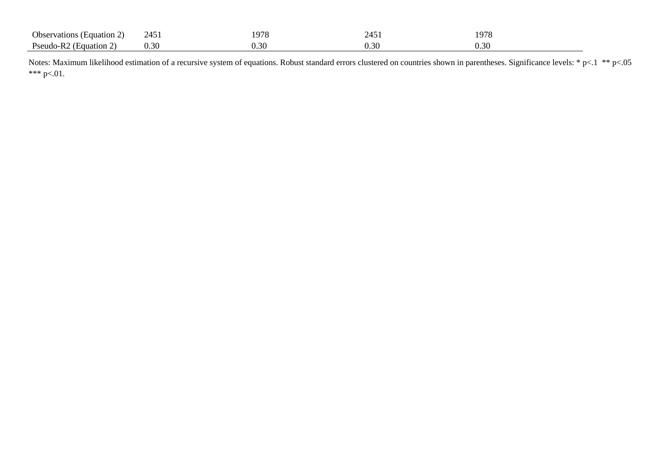| Observations (Equation 2) | 2451 | 07۶ ا | $-T - 1$ | 1978     |
|---------------------------|------|-------|----------|----------|
| Pseudo-R2<br>(Equation 2. | u.st | ≺     | J.3U     | $0.30\,$ |